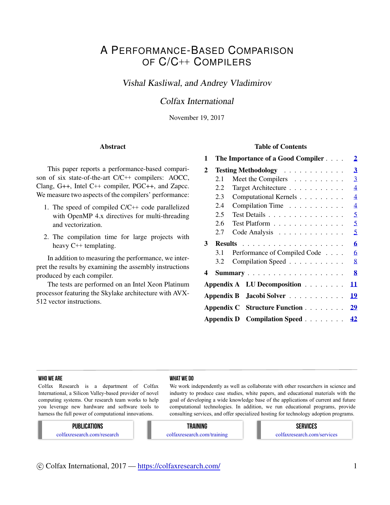# A PERFORMANCE-BASED COMPARISON OF C/C++ COMPILERS

# Vishal Kasliwal, and Andrey Vladimirov

# Colfax International

November 19, 2017

#### Abstract

This paper reports a performance-based comparison of six state-of-the-art C/C++ compilers: AOCC, Clang, G++, Intel C++ compiler, PGC++, and Zapcc. We measure two aspects of the compilers' performance:

- 1. The speed of compiled C/C++ code parallelized with OpenMP 4.x directives for multi-threading and vectorization.
- 2. The compilation time for large projects with heavy C++ templating.

In addition to measuring the performance, we interpret the results by examining the assembly instructions produced by each compiler.

The tests are performed on an Intel Xeon Platinum processor featuring the Skylake architecture with AVX-512 vector instructions.

#### Table of Contents

| 1 |     | The Importance of a Good Compiler | $\overline{2}$          |
|---|-----|-----------------------------------|-------------------------|
| 2 |     | <b>Testing Methodology</b>        | $\overline{\mathbf{3}}$ |
|   | 2.1 | Meet the Compilers                | $\overline{3}$          |
|   | 2.2 | Target Architecture               | $\overline{4}$          |
|   | 2.3 | Computational Kernels             | $\overline{4}$          |
|   | 2.4 | Compilation Time                  | $\overline{4}$          |
|   | 2.5 | Test Details                      | 5                       |
|   | 2.6 | Test Platform                     | 5                       |
|   | 2.7 | Code Analysis                     | 5                       |
| 3 |     |                                   | 6                       |
|   | 3.1 | Performance of Compiled Code      | 6                       |
|   | 3.2 | Compilation Speed                 | 8                       |
| 4 |     |                                   | 8                       |
|   |     | Appendix A LU Decomposition       | 11                      |
|   |     | Appendix B Jacobi Solver          | 19                      |
|   |     | Appendix C Structure Function     | 29                      |
|   |     | Appendix D Compilation Speed      | 42                      |

#### WHO WE ARE WHO WE ARE WHO WE ARE WHO WE ARE WHAT WE DO

Colfax Research is a department of Colfax International, a Silicon Valley-based provider of novel computing systems. Our research team works to help you leverage new hardware and software tools to harness the full power of computational innovations.

We work independently as well as collaborate with other researchers in science and industry to produce case studies, white papers, and educational materials with the goal of developing a wide knowledge base of the applications of current and future computational technologies. In addition, we run educational programs, provide consulting services, and offer specialized hosting for technology adoption programs.

#### PUBLICATIONS

colfaxresearch.com/research

#### TRAINING colfaxresearch.com/training

SERVICES colfaxresearch.com/services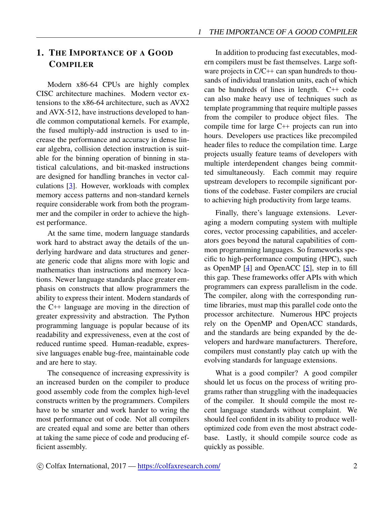# <span id="page-1-0"></span>1. THE IMPORTANCE OF A GOOD **COMPILER**

Modern x86-64 CPUs are highly complex CISC architecture machines. Modern vector extensions to the x86-64 architecture, such as AVX2 and AVX-512, have instructions developed to handle common computational kernels. For example, the fused multiply-add instruction is used to increase the performance and accuracy in dense linear algebra, collision detection instruction is suitable for the binning operation of binning in statistical calculations, and bit-masked instructions are designed for handling branches in vector calculations [\[3](#page-8-0)]. However, workloads with complex memory access patterns and non-standard kernels require considerable work from both the programmer and the compiler in order to achieve the highest performance.

At the same time, modern language standards work hard to abstract away the details of the underlying hardware and data structures and generate generic code that aligns more with logic and mathematics than instructions and memory locations. Newer language standards place greater emphasis on constructs that allow programmers the ability to express their intent. Modern standards of the C++ language are moving in the direction of greater expressivity and abstraction. The Python programming language is popular because of its readability and expressiveness, even at the cost of reduced runtime speed. Human-readable, expressive languages enable bug-free, maintainable code and are here to stay.

The consequence of increasing expressivity is an increased burden on the compiler to produce good assembly code from the complex high-level constructs written by the programmers. Compilers have to be smarter and work harder to wring the most performance out of code. Not all compilers are created equal and some are better than others at taking the same piece of code and producing efficient assembly.

In addition to producing fast executables, modern compilers must be fast themselves. Large software projects in  $C/C++$  can span hundreds to thousands of individual translation units, each of which can be hundreds of lines in length. C++ code can also make heavy use of techniques such as template programming that require multiple passes from the compiler to produce object files. The compile time for large C++ projects can run into hours. Developers use practices like precompiled header files to reduce the compilation time. Large projects usually feature teams of developers with multiple interdependent changes being committed simultaneously. Each commit may require upstream developers to recompile significant portions of the codebase. Faster compilers are crucial to achieving high productivity from large teams.

Finally, there's language extensions. Leveraging a modern computing system with multiple cores, vector processing capabilities, and accelerators goes beyond the natural capabilities of common programming languages. So frameworks specific to high-performance computing (HPC), such as OpenMP [\[4](#page-9-0)] and OpenACC [[5\]](#page-9-1), step in to fill this gap. These frameworks offer APIs with which programmers can express parallelism in the code. The compiler, along with the corresponding runtime libraries, must map this parallel code onto the processor architecture. Numerous HPC projects rely on the OpenMP and OpenACC standards, and the standards are being expanded by the developers and hardware manufacturers. Therefore, compilers must constantly play catch up with the evolving standards for language extensions.

What is a good compiler? A good compiler should let us focus on the process of writing programs rather than struggling with the inadequacies of the compiler. It should compile the most recent language standards without complaint. We should feel confident in its ability to produce welloptimized code from even the most abstract codebase. Lastly, it should compile source code as quickly as possible.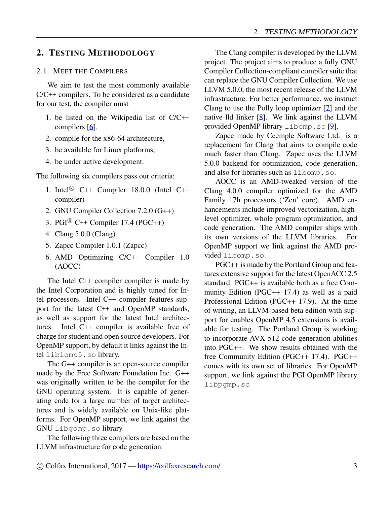### <span id="page-2-0"></span>2. TESTING METHODOLOGY

#### <span id="page-2-1"></span>2.1. MEET THE COMPILERS

We aim to test the most commonly available C/C++ compilers. To be considered as a candidate for our test, the compiler must

- 1. be listed on the Wikipedia list of C/C++ compilers [\[6](#page-9-2)],
- 2. compile for the x86-64 architecture,
- 3. be available for Linux platforms,
- 4. be under active development.

The following six compilers pass our criteria:

- 1. Intel<sup>®</sup> C++ Compiler 18.0.0 (Intel C++ compiler)
- 2. GNU Compiler Collection 7.2.0 (G++)
- 3. PGI<sup>®</sup> C<sup>++</sup> Compiler 17.4 (PGC<sup>++</sup>)
- 4. Clang 5.0.0 (Clang)
- 5. Zapcc Compiler 1.0.1 (Zapcc)
- 6. AMD Optimizing C/C++ Compiler 1.0 (AOCC)

The Intel C++ compiler compiler is made by the Intel Corporation and is highly tuned for Intel processors. Intel C++ compiler features support for the latest C++ and OpenMP standards, as well as support for the latest Intel architectures. Intel C++ compiler is available free of charge for student and open source developers. For OpenMP support, by default it links against the Intel libiomp5.so library.

The G++ compiler is an open-source compiler made by the Free Software Foundation Inc. G++ was originally written to be the compiler for the GNU operating system. It is capable of generating code for a large number of target architectures and is widely available on Unix-like platforms. For OpenMP support, we link against the GNU libgomp.so library.

The following three compilers are based on the LLVM infrastructure for code generation.

The Clang compiler is developed by the LLVM project. The project aims to produce a fully GNU Compiler Collection-compliant compiler suite that can replace the GNU Compiler Collection. We use LLVM 5.0.0, the most recent release of the LLVM infrastructure. For better performance, we instruct Clang to use the Polly loop optimizer [[7\]](#page-9-3) and the native lld linker [\[8](#page-9-4)]. We link against the LLVM provided OpenMP library libomp.so [[9\]](#page-9-5).

Zapcc made by Ceemple Software Ltd. is a replacement for Clang that aims to compile code much faster than Clang. Zapcc uses the LLVM 5.0.0 backend for optimization, code generation, and also for libraries such as libomp.so.

AOCC is an AMD-tweaked version of the Clang 4.0.0 compiler optimized for the AMD Family 17h processors ('Zen' core). AMD enhancements include improved vectorization, highlevel optimizer, whole program optimization, and code generation. The AMD compiler ships with its own versions of the LLVM libraries. For OpenMP support we link against the AMD provided libomp.so.

PGC++ is made by the Portland Group and features extensive support for the latest OpenACC 2.5 standard. PGC++ is available both as a free Community Edition (PGC++ 17.4) as well as a paid Professional Edition (PGC++ 17.9). At the time of writing, an LLVM-based beta edition with support for enables OpenMP 4.5 extensions is available for testing. The Portland Group is working to incorporate AVX-512 code generation abilities into PGC++. We show results obtained with the free Community Edition (PGC++ 17.4). PGC++ comes with its own set of libraries. For OpenMP support, we link against the PGI OpenMP library libpgmp.so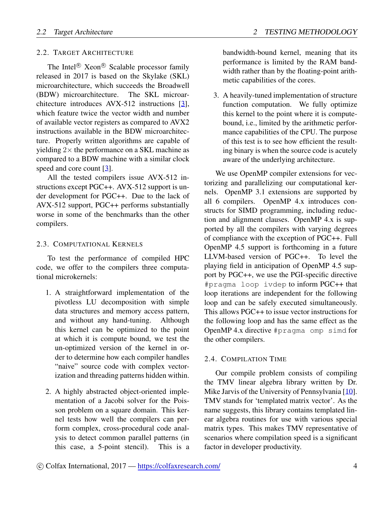#### <span id="page-3-0"></span>2.2. TARGET ARCHITECTURE

The Intel<sup>®</sup> Xeon<sup>®</sup> Scalable processor family released in 2017 is based on the Skylake (SKL) microarchitecture, which succeeds the Broadwell (BDW) microarchitecture. The SKL microarchitecture introduces AVX-512 instructions [\[3](#page-8-0)], which feature twice the vector width and number of available vector registers as compared to AVX2 instructions available in the BDW microarchitecture. Properly written algorithms are capable of yielding 2*×* the performance on a SKL machine as compared to a BDW machine with a similar clock speed and core count [[3\]](#page-8-0).

All the tested compilers issue AVX-512 instructions except PGC++. AVX-512 support is under development for PGC++. Due to the lack of AVX-512 support, PGC++ performs substantially worse in some of the benchmarks than the other compilers.

#### <span id="page-3-1"></span>2.3. COMPUTATIONAL KERNELS

To test the performance of compiled HPC code, we offer to the compilers three computational microkernels:

- 1. A straightforward implementation of the pivotless LU decomposition with simple data structures and memory access pattern, and without any hand-tuning. Although this kernel can be optimized to the point at which it is compute bound, we test the un-optimized version of the kernel in order to determine how each compiler handles "naive" source code with complex vectorization and threading patterns hidden within.
- 2. A highly abstracted object-oriented implementation of a Jacobi solver for the Poisson problem on a square domain. This kernel tests how well the compilers can perform complex, cross-procedural code analysis to detect common parallel patterns (in this case, a 5-point stencil). This is a

bandwidth-bound kernel, meaning that its performance is limited by the RAM bandwidth rather than by the floating-point arithmetic capabilities of the cores.

3. A heavily-tuned implementation of structure function computation. We fully optimize this kernel to the point where it is computebound, i.e., limited by the arithmetic performance capabilities of the CPU. The purpose of this test is to see how efficient the resulting binary is when the source code is acutely aware of the underlying architecture.

We use OpenMP compiler extensions for vectorizing and parallelizing our computational kernels. OpenMP 3.1 extensions are supported by all 6 compilers. OpenMP 4.x introduces constructs for SIMD programming, including reduction and alignment clauses. OpenMP 4.x is supported by all the compilers with varying degrees of compliance with the exception of PGC++. Full OpenMP 4.5 support is forthcoming in a future LLVM-based version of PGC++. To level the playing field in anticipation of OpenMP 4.5 support by PGC++, we use the PGI-specific directive #pragma loop ivdep to inform PGC++ that loop iterations are independent for the following loop and can be safely executed simultaneously. This allows PGC++ to issue vector instructions for the following loop and has the same effect as the OpenMP 4.x directive #pragma omp simd for the other compilers.

#### <span id="page-3-2"></span>2.4. COMPILATION TIME

Our compile problem consists of compiling the TMV linear algebra library written by Dr. Mike Jarvis of the University of Pennsylvania [\[10](#page-9-6)]. TMV stands for 'templated matrix vector'. As the name suggests, this library contains templated linear algebra routines for use with various special matrix types. This makes TMV representative of scenarios where compilation speed is a significant factor in developer productivity.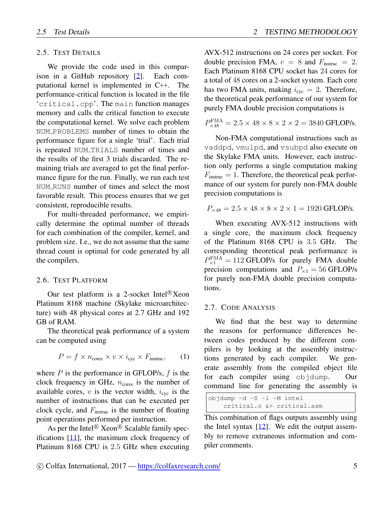#### <span id="page-4-0"></span>2.5. TEST DETAILS

We provide the code used in this comparison in a GitHub repository [[2\]](#page-8-1). Each computational kernel is implemented in C++. The performance-critical function is located in the file 'critical.cpp'. The main function manages memory and calls the critical function to execute the computational kernel. We solve each problem NUM PROBLEMS number of times to obtain the performance figure for a single 'trial'. Each trial is repeated NUM TRIALS number of times and the results of the first 3 trials discarded. The remaining trials are averaged to get the final performance figure for the run. Finally, we run each test NUM RUNS number of times and select the most favorable result. This process ensures that we get consistent, reproducible results.

For multi-threaded performance, we empirically determine the optimal number of threads for each combination of the compiler, kernel, and problem size. I.e., we do not assume that the same thread count is optimal for code generated by all the compilers.

#### <span id="page-4-1"></span>2.6. TEST PLATFORM

Our test platform is a 2-socket Intel<sup>®</sup>Xeon Platinum 8168 machine (Skylake microarchitecture) with 48 physical cores at 2.7 GHz and 192 GB of RAM.

The theoretical peak performance of a system can be computed using

$$
P = f \times n_{\text{cores}} \times v \times i_{\text{cyc}} \times F_{\text{instruc}}, \qquad (1)
$$

where *P* is the performance in GFLOP/s, *f* is the clock frequency in GHz,  $n_{\text{cores}}$  is the number of available cores,  $v$  is the vector width,  $i_{\text{cyc}}$  is the number of instructions that can be executed per clock cycle, and *F*instruc is the number of floating point operations performed per instruction.

As per the Intel<sup>®</sup> Xeon<sup>®</sup> Scalable family specifications [\[11](#page-9-7)], the maximum clock frequency of Platinum 8168 CPU is 2*.*5 GHz when executing

AVX-512 instructions on 24 cores per socket. For double precision FMA,  $v = 8$  and  $F_{\text{instruc}} = 2$ . Each Platinum 8168 CPU socket has 24 cores for a total of 48 cores on a 2-socket system. Each core has two FMA units, making  $i_{\text{cyc}} = 2$ . Therefore, the theoretical peak performance of our system for purely FMA double precision computations is

$$
P_{\times 48}^{\text{FMA}} = 2.5 \times 48 \times 8 \times 2 \times 2 = 3840 \text{ GFLOP/s}.
$$

Non-FMA computational instructions such as vaddpd, vmulpd, and vsubpd also execute on the Skylake FMA units. However, each instruction only performs a single computation making  $F_{\text{instruc}} = 1$ . Therefore, the theoretical peak performance of our system for purely non-FMA double precision computations is

$$
P_{\times 48} = 2.5 \times 48 \times 8 \times 2 \times 1 = 1920
$$
 GFLOP/s.

When executing AVX-512 instructions with a single core, the maximum clock frequency of the Platinum 8168 CPU is 3*.*5 GHz. The corresponding theoretical peak performance is  $P_{\times 1}^{\text{FMA}} = 112 \text{ GFLOP/s}$  for purely FMA double precision computations and  $P_{\times 1} = 56$  GFLOP/s for purely non-FMA double precision computations.

#### <span id="page-4-2"></span>2.7. CODE ANALYSIS

We find that the best way to determine the reasons for performance differences between codes produced by the different compilers is by looking at the assembly instructions generated by each compiler. We generate assembly from the compiled object file for each compiler using objdump. Our command line for generating the assembly is

objdump -d -S -l -M intel critical.o &> critical.asm

This combination of flags outputs assembly using the Intel syntax  $[12]$  $[12]$ . We edit the output assembly to remove extraneous information and compiler comments.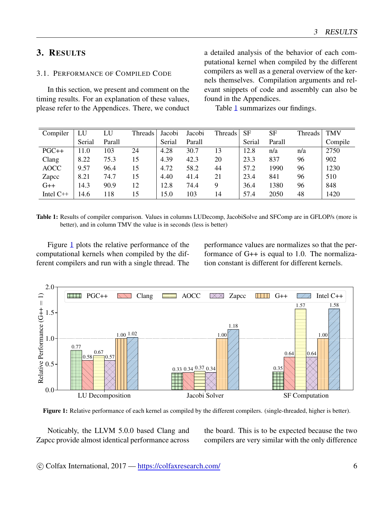# <span id="page-5-0"></span>3. RESULTS

# <span id="page-5-1"></span>3.1. PERFORMANCE OF COMPILED CODE

In this section, we present and comment on the timing results. For an explanation of these values, please refer to the Appendices. There, we conduct a detailed analysis of the behavior of each computational kernel when compiled by the different compilers as well as a general overview of the kernels themselves. Compilation arguments and relevant snippets of code and assembly can also be found in the Appendices.

Table [1](#page-5-2) summarizes our findings.

<span id="page-5-2"></span>

| Compiler    | LU     | LU     | Threads | Jacobi | Jacobi | Threads | <b>SF</b> | <b>SF</b> | Threads ' | <b>TMV</b> |
|-------------|--------|--------|---------|--------|--------|---------|-----------|-----------|-----------|------------|
|             | Serial | Parall |         | Serial | Parall |         | Serial    | Parall    |           | Compile    |
| $PGC++$     | 11.0   | 103    | 24      | 4.28   | 30.7   | 13      | 12.8      | n/a       | n/a       | 2750       |
| Clang       | 8.22   | 75.3   | 15      | 4.39   | 42.3   | 20      | 23.3      | 837       | 96        | 902        |
| <b>AOCC</b> | 9.57   | 96.4   | 15      | 4.72   | 58.2   | 44      | 57.2      | 1990      | 96        | 1230       |
| Zapcc       | 8.21   | 74.7   | 15      | 4.40   | 41.4   | 21      | 23.4      | 841       | 96        | 510        |
| $G++$       | 14.3   | 90.9   | 12      | 12.8   | 74.4   | 9       | 36.4      | 1380      | 96        | 848        |
| Intel $C++$ | 14.6   | 118    | 15      | 15.0   | 103    | 14      | 57.4      | 2050      | 48        | 1420       |

Table 1: Results of compiler comparison. Values in columns LUDecomp, JacobiSolve and SFComp are in GFLOP/s (more is better), and in column TMV the value is in seconds (less is better)

Figure [1](#page-5-3) plots the relative performance of the computational kernels when compiled by the different compilers and run with a single thread. The performance values are normalizes so that the performance of G++ is equal to 1.0. The normalization constant is different for different kernels.

<span id="page-5-3"></span>

Figure 1: Relative performance of each kernel as compiled by the different compilers. (single-threaded, higher is better).

Noticably, the LLVM 5.0.0 based Clang and Zapcc provide almost identical performance across

the board. This is to be expected because the two compilers are very similar with the only difference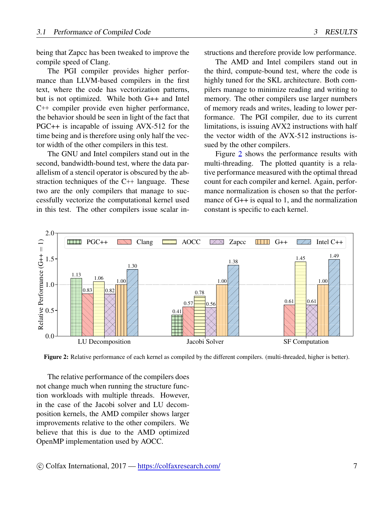being that Zapcc has been tweaked to improve the compile speed of Clang.

The PGI compiler provides higher performance than LLVM-based compilers in the first text, where the code has vectorization patterns, but is not optimized. While both G++ and Intel C++ compiler provide even higher performance, the behavior should be seen in light of the fact that PGC++ is incapable of issuing AVX-512 for the time being and is therefore using only half the vector width of the other compilers in this test.

The GNU and Intel compilers stand out in the second, bandwidth-bound test, where the data parallelism of a stencil operator is obscured by the abstraction techniques of the C++ language. These two are the only compilers that manage to successfully vectorize the computational kernel used in this test. The other compilers issue scalar instructions and therefore provide low performance.

The AMD and Intel compilers stand out in the third, compute-bound test, where the code is highly tuned for the SKL architecture. Both compilers manage to minimize reading and writing to memory. The other compilers use larger numbers of memory reads and writes, leading to lower performance. The PGI compiler, due to its current limitations, is issuing AVX2 instructions with half the vector width of the AVX-512 instructions issued by the other compilers.

Figure [2](#page-6-0) shows the performance results with multi-threading. The plotted quantity is a relative performance measured with the optimal thread count for each compiler and kernel. Again, performance normalization is chosen so that the performance of G++ is equal to 1, and the normalization constant is specific to each kernel.

<span id="page-6-0"></span>

Figure 2: Relative performance of each kernel as compiled by the different compilers. (multi-threaded, higher is better).

The relative performance of the compilers does not change much when running the structure function workloads with multiple threads. However, in the case of the Jacobi solver and LU decomposition kernels, the AMD compiler shows larger improvements relative to the other compilers. We believe that this is due to the AMD optimized OpenMP implementation used by AOCC.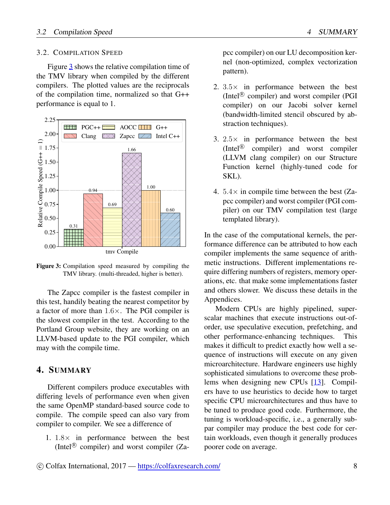#### <span id="page-7-0"></span>3.2. COMPILATION SPEED

Figure [3](#page-7-2) shows the relative compilation time of the TMV library when compiled by the different compilers. The plotted values are the reciprocals of the compilation time, normalized so that G++ performance is equal to 1.

<span id="page-7-2"></span>

Figure 3: Compilation speed measured by compiling the TMV library. (multi-threaded, higher is better).

The Zapcc compiler is the fastest compiler in this test, handily beating the nearest competitor by a factor of more than 1*.*6*×*. The PGI compiler is the slowest compiler in the test. According to the Portland Group website, they are working on an LLVM-based update to the PGI compiler, which may with the compile time.

# <span id="page-7-1"></span>4. SUMMARY

Different compilers produce executables with differing levels of performance even when given the same OpenMP standard-based source code to compile. The compile speed can also vary from compiler to compiler. We see a difference of

1. 1*.*8*×* in performance between the best (Intel<sup>®</sup> compiler) and worst compiler (Zapcc compiler) on our LU decomposition kernel (non-optimized, complex vectorization pattern).

- 2. 3*.*5*×* in performance between the best (Intel<sup>®</sup> compiler) and worst compiler (PGI compiler) on our Jacobi solver kernel (bandwidth-limited stencil obscured by abstraction techniques).
- 3. 2*.*5*×* in performance between the best (Intel<sup>®</sup> compiler) and worst compiler (LLVM clang compiler) on our Structure Function kernel (highly-tuned code for SKL).
- 4. 5*.*4*×* in compile time between the best (Zapcc compiler) and worst compiler (PGI compiler) on our TMV compilation test (large templated library).

In the case of the computational kernels, the performance difference can be attributed to how each compiler implements the same sequence of arithmetic instructions. Different implementations require differing numbers of registers, memory operations, etc. that make some implementations faster and others slower. We discuss these details in the Appendices.

Modern CPUs are highly pipelined, superscalar machines that execute instructions out-oforder, use speculative execution, prefetching, and other performance-enhancing techniques. This makes it difficult to predict exactly how well a sequence of instructions will execute on any given microarchitecture. Hardware engineers use highly sophisticated simulations to overcome these problems when designing new CPUs [\[13](#page-9-9)]. Compilers have to use heuristics to decide how to target specific CPU microarchitectures and thus have to be tuned to produce good code. Furthermore, the tuning is workload-specific, i.e., a generally subpar compiler may produce the best code for certain workloads, even though it generally produces poorer code on average.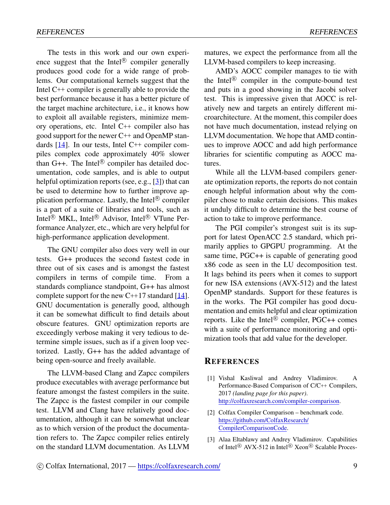The tests in this work and our own experience suggest that the Intel<sup>®</sup> compiler generally produces good code for a wide range of problems. Our computational kernels suggest that the Intel C++ compiler is generally able to provide the best performance because it has a better picture of the target machine architecture, i.e., it knows how to exploit all available registers, minimize memory operations, etc. Intel C++ compiler also has good support for the newer C++ and OpenMP standards [[14\]](#page-9-10). In our tests, Intel C++ compiler compiles complex code approximately 40% slower than  $G++$ . The Intel<sup>®</sup> compiler has detailed documentation, code samples, and is able to output helpful optimization reports (see, e.g., [[3\]](#page-8-0)) that can be used to determine how to further improve application performance. Lastly, the Intel<sup>®</sup> compiler is a part of a suite of libraries and tools, such as Intel<sup>®</sup> MKL, Intel<sup>®</sup> Advisor, Intel<sup>®</sup> VTune Performance Analyzer, etc., which are very helpful for high-performance application development.

The GNU compiler also does very well in our tests. G++ produces the second fastest code in three out of six cases and is amongst the fastest compilers in terms of compile time. From a standards compliance standpoint, G++ has almost complete support for the new C++17 standard [\[14](#page-9-10)]. GNU documentation is generally good, although it can be somewhat difficult to find details about obscure features. GNU optimization reports are exceedingly verbose making it very tedious to determine simple issues, such as if a given loop vectorized. Lastly, G++ has the added advantage of being open-source and freely available.

The LLVM-based Clang and Zapcc compilers produce executables with average performance but feature amongst the fastest compilers in the suite. The Zapcc is the fastest compiler in our compile test. LLVM and Clang have relatively good documentation, although it can be somewhat unclear as to which version of the product the documentation refers to. The Zapcc compiler relies entirely on the standard LLVM documentation. As LLVM

matures, we expect the performance from all the LLVM-based compilers to keep increasing.

AMD's AOCC compiler manages to tie with the Intel<sup>®</sup> compiler in the compute-bound test and puts in a good showing in the Jacobi solver test. This is impressive given that AOCC is relatively new and targets an entirely different microarchitecture. At the moment, this compiler does not have much documentation, instead relying on LLVM documentation. We hope that AMD continues to improve AOCC and add high performance libraries for scientific computing as AOCC matures.

While all the LLVM-based compilers generate optimization reports, the reports do not contain enough helpful information about why the compiler chose to make certain decisions. This makes it unduly difficult to determine the best course of action to take to improve performance.

The PGI compiler's strongest suit is its support for latest OpenACC 2.5 standard, which primarily applies to GPGPU programming. At the same time, PGC++ is capable of generating good x86 code as seen in the LU decomposition test. It lags behind its peers when it comes to support for new ISA extensions (AVX-512) and the latest OpenMP standards. Support for these features is in the works. The PGI compiler has good documentation and emits helpful and clear optimization reports. Like the Intel<sup>®</sup> compiler, PGC++ comes with a suite of performance monitoring and optimization tools that add value for the developer.

#### **REFERENCES**

- [1] Vishal Kasliwal and Andrey Vladimirov. A Performance-Based Comparison of C/C++ Compilers, 2017 *(landing page for this paper)*. [http://colfaxresearch.com/compiler-comparison.](http://colfaxresearch.com/compiler-comparison)
- <span id="page-8-1"></span>[2] Colfax Compiler Comparison – benchmark code. [https://github.com/ColfaxResearch/](https://github.com/ColfaxResearch/CompilerComparisonCode) [CompilerComparisonCode.](https://github.com/ColfaxResearch/CompilerComparisonCode)
- <span id="page-8-0"></span>[3] Alaa Eltablawy and Andrey Vladimirov. Capabilities of Intel<sup>®</sup> AVX-512 in Intel<sup>®</sup> Xeon<sup>®</sup> Scalable Proces-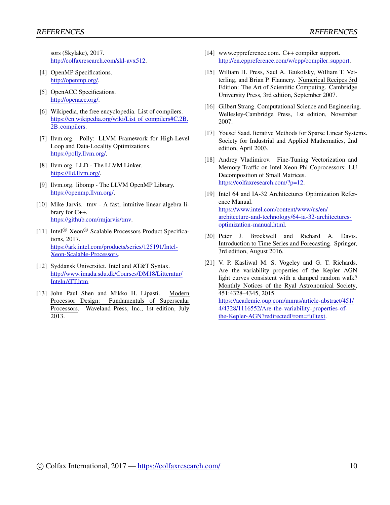sors (Skylake), 2017. <http://colfaxresearch.com/skl-avx512>.

- <span id="page-9-0"></span>[4] OpenMP Specifications. [http://openmp.org/.](http://openmp.org/)
- <span id="page-9-1"></span>[5] OpenACC Specifications. <http://openacc.org/>.
- <span id="page-9-2"></span>[6] Wikipedia, the free encyclopedia. List of compilers. [https://en.wikipedia.org/wiki/List](https://en.wikipedia.org/wiki/List_of_compilers#C.2B.2B_compilers)\_of\_compilers#C.2B. 2B [compilers](https://en.wikipedia.org/wiki/List_of_compilers#C.2B.2B_compilers).
- <span id="page-9-3"></span>[7] llvm.org. Polly: LLVM Framework for High-Level Loop and Data-Locality Optimizations. <https://polly.llvm.org/>.
- <span id="page-9-4"></span>[8] llvm.org. LLD - The LLVM Linker. [https://lld.llvm.org/.](https://lld.llvm.org/)
- <span id="page-9-5"></span>[9] llvm.org. libomp - The LLVM OpenMP Library. <https://openmp.llvm.org/>.
- <span id="page-9-6"></span>[10] Mike Jarvis. tmv - A fast, intuitive linear algebra library for C++. <https://github.com/rmjarvis/tmv>.
- <span id="page-9-7"></span>[11] Intel<sup>®</sup> Xeon<sup>®</sup> Scalable Processors Product Specifications, 2017. [https://ark.intel.com/products/series/125191/Intel-](https://ark.intel.com/products/series/125191/Intel-Xeon-Scalable-Processors)[Xeon-Scalable-Processors](https://ark.intel.com/products/series/125191/Intel-Xeon-Scalable-Processors).
- <span id="page-9-8"></span>[12] Syddansk Universitet. Intel and AT&T Syntax. [http://www.imada.sdu.dk/Courses/DM18/Litteratur/](http://www.imada.sdu.dk/Courses/DM18/Litteratur/IntelnATT.htm) [IntelnATT.htm](http://www.imada.sdu.dk/Courses/DM18/Litteratur/IntelnATT.htm).
- <span id="page-9-9"></span>[13] John Paul Shen and Mikko H. Lipasti. Modern Processor Design: Fundamentals of Superscalar Processors. Waveland Press, Inc., 1st edition, July 2013.
- <span id="page-9-10"></span>[14] www.cppreference.com. C++ compiler support. [http://en.cppreference.com/w/cpp/compiler](http://en.cppreference.com/w/cpp/compiler_support)\_support.
- <span id="page-9-11"></span>[15] William H. Press, Saul A. Teukolsky, William T. Vetterling, and Brian P. Flannery. Numerical Recipes 3rd Edition: The Art of Scientific Computing. Cambridge University Press, 3rd edition, September 2007.
- <span id="page-9-12"></span>[16] Gilbert Strang. Computational Science and Engineering. Wellesley-Cambridge Press, 1st edition, November 2007.
- <span id="page-9-13"></span>[17] Yousef Saad. Iterative Methods for Sparse Linear Systems. Society for Industrial and Applied Mathematics, 2nd edition, April 2003.
- <span id="page-9-14"></span>[18] Andrey Vladimirov. Fine-Tuning Vectorization and Memory Traffic on Intel Xeon Phi Coprocessors: LU Decomposition of Small Matrices. <https://colfaxresearch.com/?p=12>.
- <span id="page-9-15"></span>[19] Intel 64 and IA-32 Architectures Optimization Reference Manual. [https://www.intel.com/content/www/us/en/](https://www.intel.com/content/www/us/en/architecture-and-technology/64-ia-32-architectures-optimization-manual.html) [architecture-and-technology/64-ia-32-architectures](https://www.intel.com/content/www/us/en/architecture-and-technology/64-ia-32-architectures-optimization-manual.html)[optimization-manual.html](https://www.intel.com/content/www/us/en/architecture-and-technology/64-ia-32-architectures-optimization-manual.html).
- <span id="page-9-16"></span>[20] Peter J. Brockwell and Richard A. Davis. Introduction to Time Series and Forecasting. Springer, 3rd edition, August 2016.
- <span id="page-9-17"></span>[21] V. P. Kasliwal M. S. Vogeley and G. T. Richards. Are the variability properties of the Kepler AGN light curves consistent with a damped random walk? Monthly Notices of the Ryal Astronomical Society, 451:4328–4345, 2015. [https://academic.oup.com/mnras/article-abstract/451/](https://academic.oup.com/mnras/article-abstract/451/4/4328/1116552/Are-the-variability-properties-of-the-Kepler-AGN?redirectedFrom=fulltext) [4/4328/1116552/Are-the-variability-properties-of](https://academic.oup.com/mnras/article-abstract/451/4/4328/1116552/Are-the-variability-properties-of-the-Kepler-AGN?redirectedFrom=fulltext)[the-Kepler-AGN?redirectedFrom=fulltext.](https://academic.oup.com/mnras/article-abstract/451/4/4328/1116552/Are-the-variability-properties-of-the-Kepler-AGN?redirectedFrom=fulltext)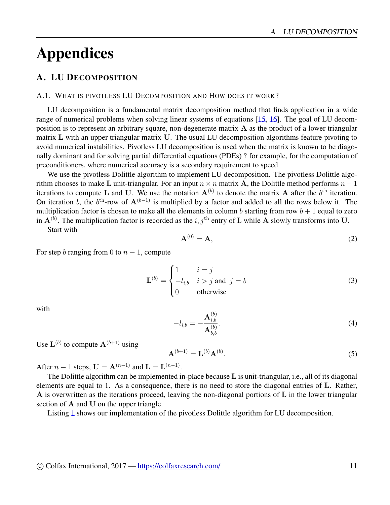# Appendices

# <span id="page-10-0"></span>A. LU DECOMPOSITION

#### A.1. WHAT IS PIVOTLESS LU DECOMPOSITION AND HOW DOES IT WORK?

LU decomposition is a fundamental matrix decomposition method that finds application in a wide range of numerical problems when solving linear systems of equations [[15,](#page-9-11) [16](#page-9-12)]. The goal of LU decomposition is to represent an arbitrary square, non-degenerate matrix **A** as the product of a lower triangular matrix **L** with an upper triangular matrix **U**. The usual LU decomposition algorithms feature pivoting to avoid numerical instabilities. Pivotless LU decomposition is used when the matrix is known to be diagonally dominant and for solving partial differential equations (PDEs) ? for example, for the computation of preconditioners, where numerical accuracy is a secondary requirement to speed.

We use the pivotless Dolittle algorithm to implement LU decomposition. The pivotless Dolittle algorithm chooses to make **L** unit-triangular. For an input  $n \times n$  matrix **A**, the Dolittle method performs  $n - 1$ iterations to compute L and U. We use the notation  $A^{(b)}$  to denote the matrix A after the  $b<sup>th</sup>$  iteration. On iteration *b*, the  $b^{\text{th}}$ -row of  $A^{(b-1)}$  is multiplied by a factor and added to all the rows below it. The multiplication factor is chosen to make all the elements in column *b* starting from row  $b + 1$  equal to zero in **A**(*b*) . The multiplication factor is recorded as the *i, j*th entry of L while **A** slowly transforms into **U**.

Start with

$$
\mathbf{A}^{(0)} = \mathbf{A},\tag{2}
$$

For step *b* ranging from 0 to  $n - 1$ , compute

$$
\mathbf{L}^{(b)} = \begin{cases} 1 & i = j \\ -l_{i,b} & i > j \text{ and } j = b \\ 0 & \text{otherwise} \end{cases} \tag{3}
$$

with

$$
-l_{i,b} = -\frac{\mathbf{A}_{i,b}^{(b)}}{\mathbf{A}_{b,b}^{(b)}}.\tag{4}
$$

Use  $\mathbf{L}^{(b)}$  to compute  $\mathbf{A}^{(b+1)}$  using

$$
\mathbf{A}^{(b+1)} = \mathbf{L}^{(b)} \mathbf{A}^{(b)}.
$$
 (5)

After *n* − 1 steps, **U** =  $A^{(n-1)}$  and  $L = L^{(n-1)}$ .

The Dolittle algorithm can be implemented in-place because **L** is unit-triangular, i.e., all of its diagonal elements are equal to 1. As a consequence, there is no need to store the diagonal entries of **L**. Rather, **A** is overwritten as the iterations proceed, leaving the non-diagonal portions of **L** in the lower triangular section of **A** and **U** on the upper triangle.

Listing [1](#page-11-0) shows our implementation of the pivotless Dolittle algorithm for LU decomposition.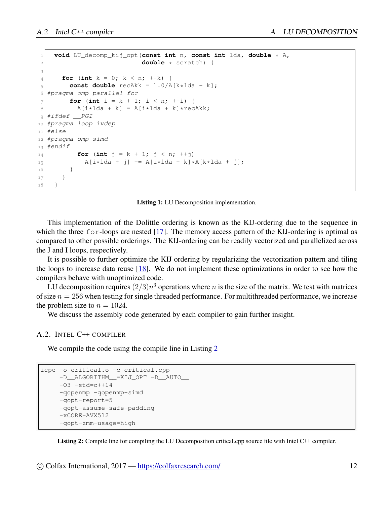```
1 void LU_decomp_kij_opt(const int n, const int lda, double * A,
2 double * scratch) {
3
4 for (int k = 0; k < n; ++k) {
5 const double recAkk = 1.0/A[k*lda + k];
6 #pragma omp parallel for
7 for (int i = k + 1; i < n; ++i) {
8 A[i*lda + k] = A[i*lda + k]*reckk;9 #ifdef __PGI
10 #pragma loop ivdep
11 #else
12 #pragma omp simd
13 #endif
for (int j = k + 1; j < n; ++j)
\begin{array}{c} \n\mathbf{A} \begin{bmatrix} i \star \end{bmatrix} \mathbf{A} + j \end{array} = \mathbf{A} \begin{bmatrix} i \star \end{bmatrix} \mathbf{A} + k \begin{bmatrix} k \star \end{bmatrix} \mathbf{A} + j \end{array}16 }
17 }
18 }
```
Listing 1: LU Decomposition implementation.

This implementation of the Dolittle ordering is known as the KIJ-ordering due to the sequence in which the three  $f \circ r$ -loops are nested [\[17\]](#page-9-13). The memory access pattern of the KIJ-ordering is optimal as compared to other possible orderings. The KIJ-ordering can be readily vectorized and parallelized across the J and I loops, respectively.

It is possible to further optimize the KIJ ordering by regularizing the vectorization pattern and tiling the loops to increase data reuse [[18](#page-9-14)]. We do not implement these optimizations in order to see how the compilers behave with unoptimized code.

LU decomposition requires  $(2/3)n<sup>3</sup>$  operations where *n* is the size of the matrix. We test with matrices of size  $n = 256$  when testing for single threaded performance. For multithreaded performance, we increase the problem size to  $n = 1024$ .

We discuss the assembly code generated by each compiler to gain further insight.

#### A.2. INTEL C++ COMPILER

We compile the code using the compile line in Listing [2](#page-11-1)

```
icpc -o critical.o -c critical.cpp
    -D__ALGORITHM__=KIJ_OPT -D__AUTO__
    -03 - std = c++14-qopenmp -qopenmp-simd
     -qopt-report=5
    -qopt-assume-safe-padding
     -xCORE-AVX512
     -qopt-zmm-usage=high
```
Listing 2: Compile line for compiling the LU Decomposition critical.cpp source file with Intel C++ compiler.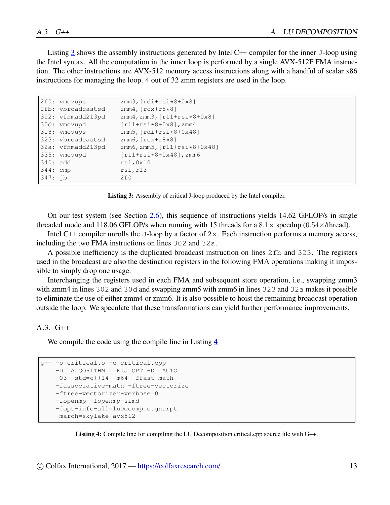Listing [3](#page-12-0) shows the assembly instructions generated by Intel C++ compiler for the inner J-loop using the Intel syntax. All the computation in the inner loop is performed by a single AVX-512F FMA instruction. The other instructions are AVX-512 memory access instructions along with a handful of scalar x86 instructions for managing the loop. 4 out of 32 zmm registers are used in the loop.

<span id="page-12-0"></span>

|            | 2f0: vmovups      | $zmm3$ , $rdi+rsi*8+0x8$ ]          |
|------------|-------------------|-------------------------------------|
|            | 2fb: vbroadcastsd | zmm4, $rx+rs+8$ ]                   |
|            | 302: vfnmadd213pd | $zmm4$ , $zmm3$ , $r11+rsi*8+0x8$ ] |
|            | 30d: vmovupd      | $[r11+rsi*8+0x8]$ , zmm4            |
|            | 318: vmovups      | $zmm5, [rdi+rsi*8+0x48]$            |
|            | 323: vbroadcastsd | $zmm6, [rcx+r8*8]$                  |
|            | 32a: vfnmadd213pd | $zmm6$ , $zmm5$ , $r11+rsi*8+0x48$  |
|            | 335: vmovupd      | $[r11+rsi*8+0x48]$ , zmm6           |
| $340:$ add |                   | rsi, 0x10                           |
| 344: cmp   |                   | rsi, r13                            |
| $347:$ ib  |                   | 2f()                                |
|            |                   |                                     |

Listing 3: Assembly of critical J-loop produced by the Intel compiler.

On our test system (see Section [2.6](#page-4-1)), this sequence of instructions yields 14.62 GFLOP/s in single threaded mode and 118.06 GFLOP/s when running with 15 threads for a  $8.1 \times$  speedup (0.54 $\times$ /thread).

Intel C++ compiler unrolls the J-loop by a factor of 2*×*. Each instruction performs a memory access, including the two FMA instructions on lines 302 and 32a.

A possible inefficiency is the duplicated broadcast instruction on lines 2fb and 323. The registers used in the broadcast are also the destination registers in the following FMA operations making it impossible to simply drop one usage.

Interchanging the registers used in each FMA and subsequent store operation, i.e., swapping zmm3 with zmm4 in lines 302 and 30d and swapping zmm5 with zmm6 in lines 323 and 32a makes it possible to eliminate the use of either zmm4 or zmm6. It is also possible to hoist the remaining broadcast operation outside the loop. We speculate that these transformations can yield further performance improvements.

#### $A.3. G++$

We compile the code using the compile line in Listing [4](#page-12-1)

```
g++ -o critical.o -c critical.cpp
   -D__ALGORITHM__=KIJ_OPT -D__AUTO__
   -03 -std=c+14 -m64 -ffast-math-fassociative-math -ftree-vectorize
   -ftree-vectorizer-verbose=0
   -fopenmp -fopenmp-simd
   -fopt-info-all=luDecomp.o.gnurpt
   -march=skylake-avx512
```
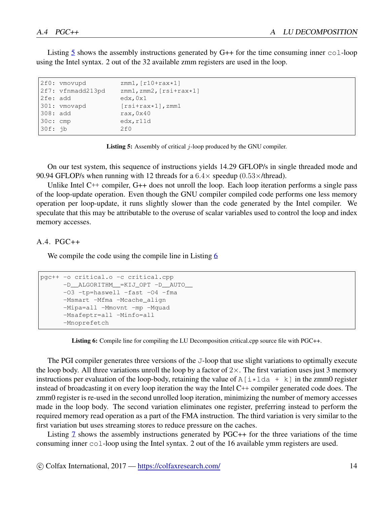Listing [5](#page-13-0) shows the assembly instructions generated by  $G++$  for the time consuming inner  $co1$ -loop using the Intel syntax. 2 out of the 32 available zmm registers are used in the loop.

```
2f0: vmovupd zmm1, [r10+rax*1]<br>2f7: vfnmadd213pd zmm1, zmm2, [rsi+r
                     zmm1,zmm2, [rsi+rax*1]2fe: add edx, 0x1
301: vmovapd [rsi+rax*1], zmm1<br>308: add rax, 0x40
                      rax,0x40
30c: cmp edx,r11d
30f: jb 2f0
```
Listing 5: Assembly of critical *j*-loop produced by the GNU compiler.

On our test system, this sequence of instructions yields 14.29 GFLOP/s in single threaded mode and 90.94 GFLOP/s when running with 12 threads for a 6*.*4*×* speedup (0*.*53*×*/thread).

Unlike Intel C++ compiler, G++ does not unroll the loop. Each loop iteration performs a single pass of the loop-update operation. Even though the GNU compiler compiled code performs one less memory operation per loop-update, it runs slightly slower than the code generated by the Intel compiler. We speculate that this may be attributable to the overuse of scalar variables used to control the loop and index memory accesses.

#### A.4. PGC++

We compile the code using the compile line in Listing [6](#page-13-1)

```
pgc++ -o critical.o -c critical.cpp
      -D__ALGORITHM__=KIJ_OPT -D__AUTO__
      -03 -tp=haswell -fast -04 -fma
     -Msmart -Mfma -Mcache_align
     -Mipa=all -Mmovnt -mp -Mquad
     -Msafeptr=all -Minfo=all
      -Mnoprefetch
```
Listing 6: Compile line for compiling the LU Decomposition critical.cpp source file with PGC++.

The PGI compiler generates three versions of the J-loop that use slight variations to optimally execute the loop body. All three variations unroll the loop by a factor of 2*×*. The first variation uses just 3 memory instructions per evaluation of the loop-body, retaining the value of  $A[i \star 1]$   $A + k$  in the zmm0 register instead of broadcasting it on every loop iteration the way the Intel C++ compiler generated code does. The zmm0 register is re-used in the second unrolled loop iteration, minimizing the number of memory accesses made in the loop body. The second variation eliminates one register, preferring instead to perform the required memory read operation as a part of the FMA instruction. The third variation is very similar to the first variation but uses streaming stores to reduce pressure on the caches.

Listing [7](#page-14-0) shows the assembly instructions generated by PGC++ for the three variations of the time consuming inner col-loop using the Intel syntax. 2 out of the 16 available ymm registers are used.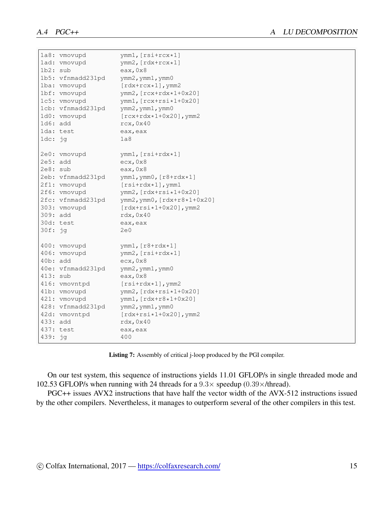<span id="page-14-0"></span>

|           | 1a8: vmovupd      | $ymm1$ , $[rsi+rcx*1]$            |
|-----------|-------------------|-----------------------------------|
|           | lad: vmovupd      | $ymm2$ , [ $rdx+rcx*1$ ]          |
| 1b2: sub  |                   | eax, 0x8                          |
|           | 1b5: vfnmadd231pd | ymm2, ymm1, ymm0                  |
|           | 1ba: vmovupd      | $[\text{rdx+rcx*1}], \text{ymm2}$ |
|           | 1bf: vmovupd      | $ymm2, [rcx + rdx * 1 + 0x20]$    |
|           | 1c5: vmovupd      | ymm1, [rcx+rsi*1+0x20]            |
|           | 1cb: vfnmadd231pd | ymm2, ymm1, ymm0                  |
|           | 1d0: vmovupd      | $[rcx + rdx * 1 + 0x20]$ , ymm2   |
| 1d6: add  |                   | rcx, 0x40                         |
|           | lda: test         | eax, eax                          |
| $1dc:$ jg |                   | 1a8                               |
|           | 2e0: vmovupd      | $ymm1, [rsi + rdx * 1]$           |
| 2e5: add  |                   | ecx, 0x8                          |
| 2e8: sub  |                   | eax, 0x8                          |
|           | 2eb: vfnmadd231pd | ymm1, ymm0, [r8+rdx*1]            |
|           | 2f1: vmovupd      | $[rsi + rdx * 1]$ , ymm1          |
|           | 2f6: vmovupd      | $ymm2$ , $[rdx + rsi*1+0x20]$     |
|           | 2fc: vfnmadd231pd | ymm2, ymm0, [rdx+r8*1+0x20]       |
|           | 303: vmovupd      | $[rdx + rsi*1+0x20]$ , ymm2       |
| 309: add  |                   | rdx, 0x40                         |
|           | 30d: test         | eax, eax                          |
| 30f: jg   |                   | 2e0                               |
|           | 400: vmovupd      | ymm1, $[r8 + rdx * 1]$            |
|           | 406: vmovupd      | ymm2, [rsi+rdx*1]                 |
| 40b: add  |                   | exc, 0x8                          |
|           | 40e: vfnmadd231pd | ymm2, ymm1, ymm0                  |
| 413: sub  |                   | eax, 0x8                          |
|           | 416: vmovntpd     | $[rsi + rdx * 1]$ , ymm2          |
|           | 41b: vmovupd      | $ymm2, [rdx + rsi * 1 + 0x20]$    |
|           | 421: vmovupd      | ymm1, [rdx+r8*1+0x20]             |
|           | 428: vfnmadd231pd | ymm2, ymm1, ymm0                  |
|           | 42d: vmovntpd     | $[rdx + rsi*1+0x20]$ , ymm2       |
| 433: add  |                   | rdx, 0x40                         |
|           | 437: test         | eax, eax                          |
| 439: jg   |                   | 400                               |

Listing 7: Assembly of critical j-loop produced by the PGI compiler.

On our test system, this sequence of instructions yields 11.01 GFLOP/s in single threaded mode and 102.53 GFLOP/s when running with 24 threads for a 9*.*3*×* speedup (0*.*39*×*/thread).

PGC++ issues AVX2 instructions that have half the vector width of the AVX-512 instructions issued by the other compilers. Nevertheless, it manages to outperform several of the other compilers in this test.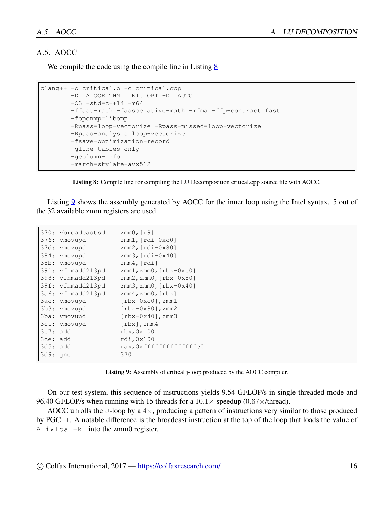#### A.5. AOCC

We compile the code using the compile line in Listing [8](#page-15-0)

```
clang++ -o critical.o -c critical.cpp
       -D__ALGORITHM__=KIJ_OPT -D__AUTO__
       -03 -std=c++14 -m64-ffast-math -fassociative-math -mfma -ffp-contract=fast
       -fopenmp=libomp
       -Rpass=loop-vectorize -Rpass-missed=loop-vectorize
        -Rpass-analysis=loop-vectorize
        -fsave-optimization-record
        -gline-tables-only
        -gcolumn-info
        -march=skylake-avx512
```
Listing 8: Compile line for compiling the LU Decomposition critical.cpp source file with AOCC.

Listing [9](#page-15-1) shows the assembly generated by AOCC for the inner loop using the Intel syntax. 5 out of the 32 available zmm registers are used.

<span id="page-15-1"></span>

|            | 370: vbroadcastsd | zmm $0, [r9]$                                 |
|------------|-------------------|-----------------------------------------------|
|            | 376: vmovupd      | $zmm1, [rdi-0xc0]$                            |
|            | 37d: vmovupd      | $zmm2$ , $rdi-0x80$ ]                         |
|            | 384: vmovupd      | zmm3, $rdi-0x40$ ]                            |
|            | 38b: vmovupd      | zmm4, $rdi$                                   |
|            | 391: vfnmadd213pd | $zmm1$ , $zmm0$ , $[\text{rbx}-0 \text{xc0}]$ |
|            | 398: vfnmadd213pd | zmm2, zmm0, [rbx-0x80]                        |
|            | 39f: vfnmadd213pd | $zmm3$ , $zmm0$ , $\lceil$ rbx-0x40]          |
|            | 3a6: vfnmadd213pd | $zmm4$ , $zmm0$ , $[\text{rbx}]$              |
|            | 3ac: vmovupd      | $[\text{rbx}-0 \text{xc0}]$ , zmm $1$         |
|            | 3b3: vmovupd      | $[\text{rbx}-0 \times 80]$ , zmm2             |
|            | 3ba: vmovupd      | $[\text{rbx}-0\text{x}40]$ , zmm3             |
|            | 3c1: vmovupd      | $[\text{rbx}]$ , zmm4                         |
| $3c7:$ add |                   | $r$ bx, $0x100$                               |
| 3ce: add   |                   | rdi,0x100                                     |
| 3d5: add   |                   | rax, Oxffffffffffffffe0                       |
| $3d9:$ ine |                   | 370                                           |
|            |                   |                                               |

Listing 9: Assembly of critical j-loop produced by the AOCC compiler.

On our test system, this sequence of instructions yields 9.54 GFLOP/s in single threaded mode and 96.40 GFLOP/s when running with 15 threads for a 10*.*1*×* speedup (0*.*67*×*/thread).

AOCC unrolls the J-loop by a 4*×*, producing a pattern of instructions very similar to those produced by PGC++. A notable difference is the broadcast instruction at the top of the loop that loads the value of  $A[i \times 1]$  + k ] into the zmm0 register.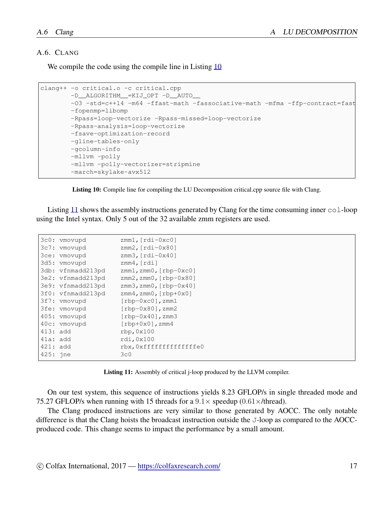#### A.6. CLANG

We compile the code using the compile line in Listing [10](#page-16-0)

```
clang++ -o critical.o -c critical.cpp
       -D__ALGORITHM__=KIJ_OPT -D__AUTO__
       -O3 -std=c++14 -m64 -ffast-math -fassociative-math -mfma -ffp-contract=fast
        -fopenmp=libomp
       -Rpass=loop-vectorize -Rpass-missed=loop-vectorize
        -Rpass-analysis=loop-vectorize
        -fsave-optimization-record
        -gline-tables-only
        -gcolumn-info
        -mllvm -polly
        -mllvm -polly-vectorizer=stripmine
        -march=skylake-avx512
```
Listing 10: Compile line for compiling the LU Decomposition critical.cpp source file with Clang.

Listing [11](#page-16-1) shows the assembly instructions generated by Clang for the time consuming inner  $\text{col-loop}$ using the Intel syntax. Only 5 out of the 32 available zmm registers are used.

<span id="page-16-1"></span>

|            | 3c0: vmovupd      | $zmm1, [rdi-0xc0]$               |
|------------|-------------------|----------------------------------|
|            | 3c7: vmovupd      | $zmm2, [rdi-0x80]$               |
|            | 3ce: vmovupd      | $zmm3$ , $rdi-0x40$              |
|            | 3d5: vmovupd      | zmm4, $rdi$                      |
|            | 3db: vfnmadd213pd | $zmm1$ , $zmm0$ , $[rbp-0xc0]$   |
|            | 3e2: vfnmadd213pd | $zmm2$ , $zmm0$ , $[rbp-0x80]$   |
|            | 3e9: vfnmadd213pd | $zmm3$ , $zmm0$ , $[rbp-0x40]$   |
|            | 3f0: vfnmadd213pd | $zmm4$ , $zmm0$ , $[rbp+0x0]$    |
|            | 3f7: vmovupd      | $[rbp-0xc0]$ , zmm $1$           |
|            | 3fe: vmovupd      | $[\text{rbp-0x80}]$ , zmm2       |
|            | 405: vmovupd      | $[\text{rbp-0x40}]$ , zmm3       |
|            | 40c: vmovupd      | $[\text{rbp+0x0}], \text{zmm4}]$ |
| $413:$ add |                   | rbp, 0x100                       |
| 41a: add   |                   | rdi, 0x100                       |
| $421:$ add |                   | rbx, 0xfffffffffffffffe0         |
| 425: jne   |                   | 3c0                              |

Listing 11: Assembly of critical j-loop produced by the LLVM compiler.

On our test system, this sequence of instructions yields 8.23 GFLOP/s in single threaded mode and 75.27 GFLOP/s when running with 15 threads for a  $9.1 \times$  speedup (0.61 $\times$ /thread).

The Clang produced instructions are very similar to those generated by AOCC. The only notable difference is that the Clang hoists the broadcast instruction outside the J-loop as compared to the AOCCproduced code. This change seems to impact the performance by a small amount.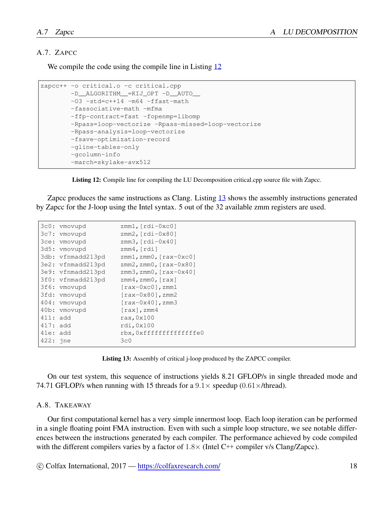#### A.7. ZAPCC

We compile the code using the compile line in Listing [12](#page-17-0)

```
zapcc++ -o critical.o -c critical.cpp
        -D__ALGORITHM__=KIJ_OPT -D__AUTO__
       -03 -std=c+14 -m64 -ffast-math-fassociative-math -mfma
        -ffp-contract=fast -fopenmp=libomp
        -Rpass=loop-vectorize -Rpass-missed=loop-vectorize
        -Rpass-analysis=loop-vectorize
        -fsave-optimization-record
        -gline-tables-only
        -gcolumn-info
        -march=skylake-avx512
```
Listing 12: Compile line for compiling the LU Decomposition critical.cpp source file with Zapcc.

Zapcc produces the same instructions as Clang. Listing [13](#page-17-1) shows the assembly instructions generated by Zapcc for the J-loop using the Intel syntax. 5 out of the 32 available zmm registers are used.

<span id="page-17-1"></span>

|            | 3c0: vmovupd      | $zmm1, [rdi-0xc0]$                                |
|------------|-------------------|---------------------------------------------------|
|            | 3c7: vmovupd      | $zmm2, [rdi-0x80]$                                |
|            | 3ce: vmovupd      | $zmm3$ , $rdi-0x40$                               |
|            | 3d5: vmovupd      | zmm4, $rdi$ ]                                     |
|            | 3db: vfnmadd213pd | $zmm1$ , $zmm0$ , $\lceil raz-0xc0\rceil$         |
|            | 3e2: vfnmadd213pd | $zmm2$ , $zmm0$ , $[raz-0x80]$                    |
|            | 3e9: vfnmadd213pd | $zmm3$ , $zmm0$ , $\lceil raz-0x40\rceil$         |
|            | 3f0: vfnmadd213pd | $zmm4$ , $zmm0$ , $\lceil rax \rceil$             |
|            | 3f6: vmovupd      | $\lceil \text{raw}-0 \text{xc0} \rceil$ , zmm $1$ |
|            | 3fd: vmovupd      | $\lceil \text{rax-0x80} \rceil$ , zmm2            |
|            | 404: vmovupd      | $\lceil \text{rax-0x40} \rceil$ , zmm3            |
|            | 40b: vmovupd      | $\lceil \text{rax} \rceil$ , zmm $4$              |
| $411:$ add |                   | $\text{rax}, \text{0x100}$                        |
| $417:$ add |                   | rdi, 0x100                                        |
| 41e: add   |                   | rbx, 0xfffffffffffffffe0                          |
| 422: jne   |                   | 3c0                                               |
|            |                   |                                                   |

Listing 13: Assembly of critical j-loop produced by the ZAPCC compiler.

On our test system, this sequence of instructions yields 8.21 GFLOP/s in single threaded mode and 74.71 GFLOP/s when running with 15 threads for a 9*.*1*×* speedup (0*.*61*×*/thread).

#### A.8. TAKEAWAY

Our first computational kernel has a very simple innermost loop. Each loop iteration can be performed in a single floating point FMA instruction. Even with such a simple loop structure, we see notable differences between the instructions generated by each compiler. The performance achieved by code compiled with the different compilers varies by a factor of 1*.*8*×* (Intel C++ compiler v/s Clang/Zapcc).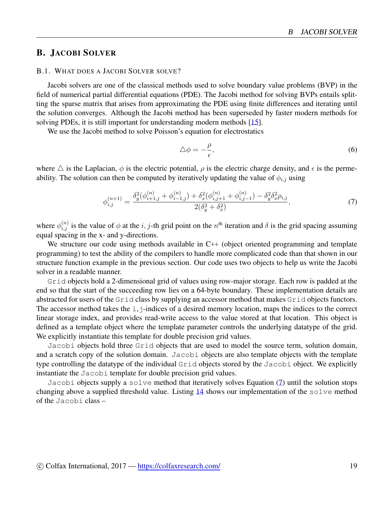# <span id="page-18-0"></span>B. JACOBI SOLVER

#### B.1. WHAT DOES A JACOBI SOLVER SOLVE?

Jacobi solvers are one of the classical methods used to solve boundary value problems (BVP) in the field of numerical partial differential equations (PDE). The Jacobi method for solving BVPs entails splitting the sparse matrix that arises from approximating the PDE using finite differences and iterating until the solution converges. Although the Jacobi method has been superseded by faster modern methods for solving PDEs, it is still important for understanding modern methods [\[15](#page-9-11)].

We use the Jacobi method to solve Poisson's equation for electrostatics

<span id="page-18-1"></span>
$$
\Delta \phi = -\frac{\rho}{\epsilon},\tag{6}
$$

where  $\triangle$  is the Laplacian,  $\phi$  is the electric potential,  $\rho$  is the electric charge density, and  $\epsilon$  is the permeability. The solution can then be computed by iteratively updating the value of  $\phi_{i,j}$  using

$$
\phi_{i,j}^{(n+1)} = \frac{\delta_y^2(\phi_{i+1,j}^{(n)} + \phi_{i-1,j}^{(n)}) + \delta_x^2(\phi_{i,j+1}^{(n)} + \phi_{i,j-1}^{(n)}) - \delta_y^2 \delta_x^2 \rho_{i,j}}{2(\delta_y^2 + \delta_x^2)},
$$
\n(7)

where  $\phi_{i,j}^{(n)}$  is the value of  $\phi$  at the *i*, *j*-th grid point on the  $n^{\text{th}}$  iteration and  $\delta$  is the grid spacing assuming equal spacing in the x- and y-directions.

We structure our code using methods available in C++ (object oriented programming and template programming) to test the ability of the compilers to handle more complicated code than that shown in our structure function example in the previous section. Our code uses two objects to help us write the Jacobi solver in a readable manner.

Grid objects hold a 2-dimensional grid of values using row-major storage. Each row is padded at the end so that the start of the succeeding row lies on a 64-byte boundary. These implementation details are abstracted for users of the Grid class by supplying an accessor method that makes Grid objects functors. The accessor method takes the  $\pm$ ,  $\pm$ -indices of a desired memory location, maps the indices to the correct linear storage index, and provides read-write access to the value stored at that location. This object is defined as a template object where the template parameter controls the underlying datatype of the grid. We explicitly instantiate this template for double precision grid values.

Jacobi objects hold three Grid objects that are used to model the source term, solution domain, and a scratch copy of the solution domain. Jacobi objects are also template objects with the template type controlling the datatype of the individual Grid objects stored by the Jacobi object. We explicitly instantiate the Jacobi template for double precision grid values.

Jacobi objects supply a solve method that iteratively solves Equation ([7\)](#page-18-1) until the solution stops changing above a supplied threshold value. Listing  $14$  shows our implementation of the solve method of the Jacobi class –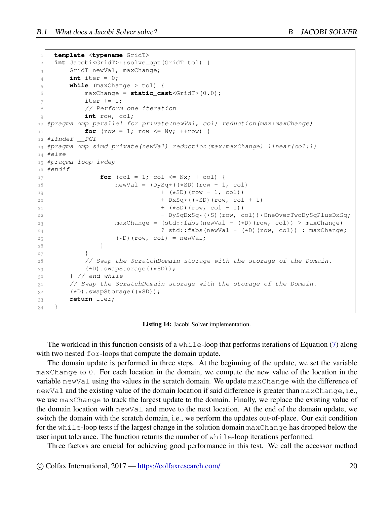```
1 template <typename GridT>
2 int Jacobi<GridT>::solve_opt(GridT tol) {
3 GridT newVal, maxChange;
4 int iter = 0;
5 while (maxChange > tol) {
6 maxChange = static_cast<GridT>(0.0);
7 iter += 1;
8 // Perform one iteration
9 int row, col;
10 #pragma omp parallel for private(newVal, col) reduction(max:maxChange)
11 for (row = 1; row <= Ny; ++row) {
12 #ifndef __PGI
13 #pragma omp simd private(newVal) reduction(max:maxChange) linear(col:1)
14 #else
15 #pragma loop ivdep
16 #endif
17 for (col = 1; col <= Nx; ++col) {
18 18 newVal = (DySq*((*SD)(row + 1, col)
19 + (*SD)(row - 1, col))
20 + DxSq*((*SD)(row, col + 1)
21 + (*SD)(row, col - 1))
<sup>22</sup> - DySqDxSq*(*S)(row, col))*OneOverTwoDySqPlusDxSq;
23 maxChange = (std::fabs(newVal - (*D)(row, col)) > maxChange)
24 ? std::fabs(newVal - (*D)(row, col)) : maxChange;
25 (*D)(row, col) = newVal;
26 }
27 }
28 // Swap the ScratchDomain storage with the storage of the Domain.
29 (*D).swapStorage((*SD));
30 } // end while
31 // Swap the ScratchDomain storage with the storage of the Domain.
32 (*D).swapStorage((*SD));
33 return iter;
34 }
```
#### Listing 14: Jacobi Solver implementation.

The workload in this function consists of a while-loop that performs iterations of Equation ([7\)](#page-18-1) along with two nested  $for$ -loops that compute the domain update.

The domain update is performed in three steps. At the beginning of the update, we set the variable maxChange to 0. For each location in the domain, we compute the new value of the location in the variable newVal using the values in the scratch domain. We update maxChange with the difference of newVal and the existing value of the domain location if said difference is greater than maxChange, i.e., we use maxChange to track the largest update to the domain. Finally, we replace the existing value of the domain location with newVal and move to the next location. At the end of the domain update, we switch the domain with the scratch domain, i.e., we perform the updates out-of-place. Our exit condition for the while-loop tests if the largest change in the solution domain maxChange has dropped below the user input tolerance. The function returns the number of  $\text{while-loop iterations performed.}$ 

Three factors are crucial for achieving good performance in this test. We call the accessor method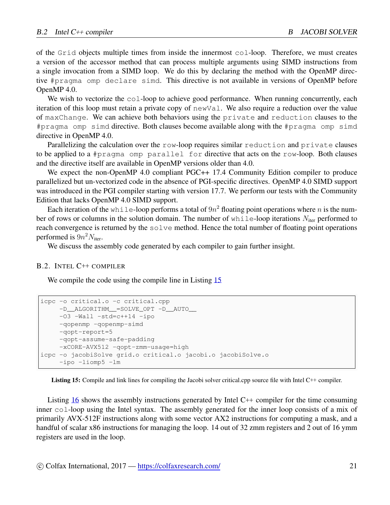of the Grid objects multiple times from inside the innermost col-loop. Therefore, we must creates a version of the accessor method that can process multiple arguments using SIMD instructions from a single invocation from a SIMD loop. We do this by declaring the method with the OpenMP directive #pragma omp declare simd. This directive is not available in versions of OpenMP before OpenMP 4.0.

We wish to vectorize the col-loop to achieve good performance. When running concurrently, each iteration of this loop must retain a private copy of newVal. We also require a reduction over the value of maxChange. We can achieve both behaviors using the private and reduction clauses to the #pragma omp simd directive. Both clauses become available along with the #pragma omp simd directive in OpenMP 4.0.

Parallelizing the calculation over the row-loop requires similar reduction and private clauses to be applied to a #pragma omp parallel for directive that acts on the row-loop. Both clauses and the directive itself are available in OpenMP versions older than 4.0.

We expect the non-OpenMP 4.0 compliant PGC++ 17.4 Community Edition compiler to produce parallelized but un-vectorized code in the absence of PGI-specific directives. OpenMP 4.0 SIMD support was introduced in the PGI compiler starting with version 17.7. We perform our tests with the Community Edition that lacks OpenMP 4.0 SIMD support.

Each iteration of the while-loop performs a total of  $9n^2$  floating point operations where *n* is the number of rows or columns in the solution domain. The number of while-loop iterations  $N_{\text{iter}}$  performed to reach convergence is returned by the solve method. Hence the total number of floating point operations performed is  $9n^2N_{\text{iter}}$ .

We discuss the assembly code generated by each compiler to gain further insight.

#### B.2. INTEL C++ COMPILER

We compile the code using the compile line in Listing [15](#page-20-0)

```
icpc -o critical.o -c critical.cpp
     -D__ALGORITHM__=SOLVE_OPT -D__AUTO__
    -03 -Wall -std=c+14 -ipo-qopenmp -qopenmp-simd
     -qopt-report=5
     -qopt-assume-safe-padding
    -xCORE-AVX512 -qopt-zmm-usage=high
icpc -o jacobiSolve grid.o critical.o jacobi.o jacobiSolve.o
     -ipo -liomp5 -lm
```
Listing 15: Compile and link lines for compiling the Jacobi solver critical.cpp source file with Intel C++ compiler.

Listing [16](#page-21-0) shows the assembly instructions generated by Intel C++ compiler for the time consuming inner col-loop using the Intel syntax. The assembly generated for the inner loop consists of a mix of primarily AVX-512F instructions along with some vector AX2 instructions for computing a mask, and a handful of scalar x86 instructions for managing the loop. 14 out of 32 zmm registers and 2 out of 16 ymm registers are used in the loop.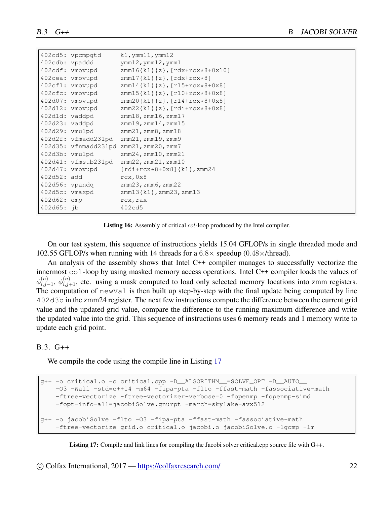<span id="page-21-0"></span>

|                     | 402cd5: vpcmpqtd     | $k1$ , ymm $11$ , ymm $12$                            |
|---------------------|----------------------|-------------------------------------------------------|
| 402cdb: vpaddd      |                      | $ymm12$ , $ymm12$ , $ymm1$                            |
|                     | 402cdf: vmovupd      | $zmm16{k1}{z}, [rdx+rcx*8+0x10]$                      |
|                     | 402cea: vmovupd      | $zmm17{k1}{z}, [rdx+rcx*8]$                           |
|                     | 402cf1: vmovupd      | $zmm14{k1}{z}, [r15+rcx*8+0x8]$                       |
|                     | 402cfc: vmovupd      | $zmm15{k1}{z}, [r10+rcx*8+0x8]$                       |
|                     | 402d07: vmovupd      | $zmm20\{k1\}$ {z}, $[r14+rcx*8+0x8]$                  |
|                     | 402d12: vmovupd      | $zmm22{k1}{z}, [rdi+rcx*8+0x8]$                       |
|                     | 402d1d: vaddpd       | $zmm18$ , $zmm16$ , $zmm17$                           |
| $402d23$ : $vaddpd$ |                      | $zmm19$ , $zmm14$ , $zmm15$                           |
| $402d29$ : $vmu1pd$ |                      | $zmm21$ , $zmm8$ , $zmm18$                            |
|                     | 402d2f: vfmadd231pd  | $zmm21$ , $zmm19$ , $zmm9$                            |
|                     |                      | 402d35: vfnmadd231pd zmm21, zmm20, zmm7               |
| 402d3b: vmulpd      |                      | $zmm24$ , $zmm10$ , $zmm21$                           |
|                     | 402d41: vfmsub231pd  | $zmm22$ , $zmm21$ , $zmm10$                           |
|                     | 402d47: vmovupd      | $\lceil \text{rdi+rcx*8+0x8} \rceil \{ k1 \}$ , zmm24 |
| 402d52: add         |                      | rcx, 0x8                                              |
|                     | $402d56$ : $v$ pandq | $zmm23$ , $zmm6$ , $zmm22$                            |
| 402d5c: vmaxpd      |                      | $zmm13{k1}$ , $zmm23$ , $zmm13$                       |
| 402d62: cmp         |                      | rcx, rax                                              |
| $402d65:$ ib        |                      | 402cd5                                                |

Listing 16: Assembly of critical *col*-loop produced by the Intel compiler.

On our test system, this sequence of instructions yields 15.04 GFLOP/s in single threaded mode and 102.55 GFLOP/s when running with 14 threads for a 6*.*8*×* speedup (0*.*48*×*/thread).

An analysis of the assembly shows that Intel C++ compiler manages to successfully vectorize the innermost col-loop by using masked memory access operations. Intel C++ compiler loads the values of  $\phi_{i,i}^{(n)}$  $\phi_{i,j-1}^{(n)}$ ,  $\phi_{i,j+1}^{(n)}$ , etc. using a mask computed to load only selected memory locations into zmm registers. The computation of newVal is then built up step-by-step with the final update being computed by line 402d3b in the zmm24 register. The next few instructions compute the difference between the current grid value and the updated grid value, compare the difference to the running maximum difference and write the updated value into the grid. This sequence of instructions uses 6 memory reads and 1 memory write to update each grid point.

#### B.3. G++

We compile the code using the compile line in Listing [17](#page-21-1)

```
g++ -o critical.o -c critical.cpp -D__ALGORITHM__=SOLVE_OPT -D__AUTO__
   -O3 -Wall -std=c++14 -m64 -fipa-pta -flto -ffast-math -fassociative-math
   -ftree-vectorize -ftree-vectorizer-verbose=0 -fopenmp -fopenmp-simd
   -fopt-info-all=jacobiSolve.gnurpt -march=skylake-avx512
g++ -o jacobiSolve -flto -O3 -fipa-pta -ffast-math -fassociative-math
    -ftree-vectorize grid.o critical.o jacobi.o jacobiSolve.o -lgomp -lm
```
Listing 17: Compile and link lines for compiling the Jacobi solver critical.cpp source file with G++.

 $\circ$  Colfax International, 2017 — <https://colfaxresearch.com/> 22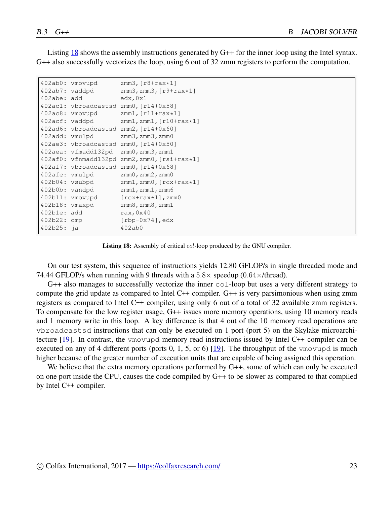Listing [18](#page-22-0) shows the assembly instructions generated by G++ for the inner loop using the Intel syntax. G++ also successfully vectorizes the loop, using 6 out of 32 zmm registers to perform the computation.

```
402ab0: vmovupd zmm3, [r8+rax*1]<br>402ab7: vaddpd zmm3, zmm3, [r9+r
                   zmm3,zmm3,[r9+rax*1]402abe: add edx,0x1
402ac1: vbroadcastsd zmm0,[r14+0x58]
402ac8: vmovupd zmm1,[r11+rax*1]
402acf: vaddpd zmm1,zmm1,[r10+rax*1]
402ad6: vbroadcastsd zmm2,[r14+0x60]
402add: vmulpd zmm3,zmm3,zmm0
402ae3: vbroadcastsd zmm0,[r14+0x50]
402aea: vfmadd132pd zmm0,zmm3,zmm1
402af0: vfnmadd132pd zmm2,zmm0,[rsi+rax*1]
402af7: vbroadcastsd zmm0,[r14+0x68]
402afe: vmulpd zmm0,zmm2,zmm0
402b04: vsubpd zmm1,zmm0,[rcx+rax*1]
402b04: vsubpd zmm1,zmm0, [rcx<br>402b0b: vandpd zmm1,zmm1,zmm6
402b11: vmovupd [rcx+rax*1], zmm0
402b18: vmaxpd zmm8,zmm8,zmm1
402b1e: add rax,0x40
402b22: cmp [rbp-0x74],edx
402b25: ja 402ab0
```
Listing 18: Assembly of critical *col*-loop produced by the GNU compiler.

On our test system, this sequence of instructions yields 12.80 GFLOP/s in single threaded mode and 74.44 GFLOP/s when running with 9 threads with a 5*.*8*×* speedup (0*.*64*×*/thread).

 $G++$  also manages to successfully vectorize the inner  $\text{col-loop}$  but uses a very different strategy to compute the grid update as compared to Intel C++ compiler. G++ is very parsimonious when using zmm registers as compared to Intel C++ compiler, using only 6 out of a total of 32 available zmm registers. To compensate for the low register usage, G++ issues more memory operations, using 10 memory reads and 1 memory write in this loop. A key difference is that 4 out of the 10 memory read operations are vbroadcastsd instructions that can only be executed on 1 port (port 5) on the Skylake microarchitecture [[19](#page-9-15)]. In contrast, the vmovupd memory read instructions issued by Intel C++ compiler can be executed on any of 4 different ports (ports  $0, 1, 5$ , or 6) [[19\]](#page-9-15). The throughput of the vmovupd is much higher because of the greater number of execution units that are capable of being assigned this operation.

We believe that the extra memory operations performed by  $G++$ , some of which can only be executed on one port inside the CPU, causes the code compiled by G++ to be slower as compared to that compiled by Intel C++ compiler.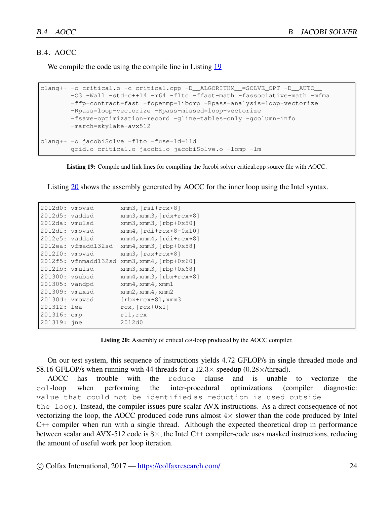#### B.4. AOCC

We compile the code using the compile line in Listing [19](#page-23-0)

```
clang++ -o critical.o -c critical.cpp -D__ALGORITHM__=SOLVE_OPT -D__AUTO__
        -O3 -Wall -std=c++14 -m64 -flto -ffast-math -fassociative-math -mfma
        -ffp-contract=fast -fopenmp=libomp -Rpass-analysis=loop-vectorize
        -Rpass=loop-vectorize -Rpass-missed=loop-vectorize
        -fsave-optimization-record -gline-tables-only -gcolumn-info
        -march=skylake-avx512
clang++ -o jacobiSolve -flto -fuse-ld=lld
        grid.o critical.o jacobi.o jacobiSolve.o -lomp -lm
```
Listing 19: Compile and link lines for compiling the Jacobi solver critical.cpp source file with AOCC.

Listing [20](#page-23-1) shows the assembly generated by AOCC for the inner loop using the Intel syntax.

<span id="page-23-1"></span>

| 2012d0: vmovsd   |                      | $xmm3, [rsit+rcx*8]$                            |
|------------------|----------------------|-------------------------------------------------|
| $2012d5:$ vaddsd |                      | $xmm3$ , $xmm3$ , $\lceil rdx + rcx * 8 \rceil$ |
| 2012da: vmulsd   |                      | $xmm3$ , $xmm3$ , $[rbp+0x50]$                  |
| 2012df: vmovsd   |                      | $xmm4$ , $rdi+rcx*8-0x10$                       |
| $2012e5:$ vaddsd |                      | $xmm4$ , $xmm4$ , $rdi+rcx*8$ ]                 |
|                  | 2012ea: vfmadd132sd  | $xmm4$ , $xmm3$ , $[rbp+0x58]$                  |
| 2012f0: vmovsd   |                      | $xmm3$ , $rxx+rcx*8$ ]                          |
|                  | 2012f5: vfnmadd132sd | $xmm3$ , $xmm4$ , $[rbp+0x60]$                  |
| 2012fb: vmulsd   |                      | $xmm3$ , $xmm3$ , $[rbp+0x68]$                  |
| 201300: vsubsd   |                      | $xmm4$ , $xmm3$ , $[\text{rbx+rcx*8}]$          |
| 201305: vandpd   |                      | $x$ mm4, $x$ mm4, $x$ mm1                       |
| 201309:          | ymaxsd               | $xmm2$ , $xmm4$ , $xmm2$                        |
| 20130d: vmovsd   |                      | $[\text{rbx+rcx*8}]$ , xmm3                     |
| 201312: lea      |                      | $rcx, [rcx+0x1]$                                |
| 201316:          | cmp                  | $r11$ , $rcx$                                   |
| 201319:          | jne                  | 2012d0                                          |

Listing 20: Assembly of critical *col*-loop produced by the AOCC compiler.

On our test system, this sequence of instructions yields 4.72 GFLOP/s in single threaded mode and 58.16 GFLOP/s when running with 44 threads for a  $12.3 \times$  speedup (0.28 $\times$ /thread).<br>AOCC has trouble with the reduce clause and is unable

AOCC has trouble with the reduce clause and is unable to vectorize the col-loop when performing the inter-procedural optimizations (compiler diagnostic: value that could not be identified as reduction is used outside the loop). Instead, the compiler issues pure scalar AVX instructions. As a direct consequence of not vectorizing the loop, the AOCC produced code runs almost 4*×* slower than the code produced by Intel C++ compiler when run with a single thread. Although the expected theoretical drop in performance between scalar and AVX-512 code is 8*×*, the Intel C++ compiler-code uses masked instructions, reducing the amount of useful work per loop iteration.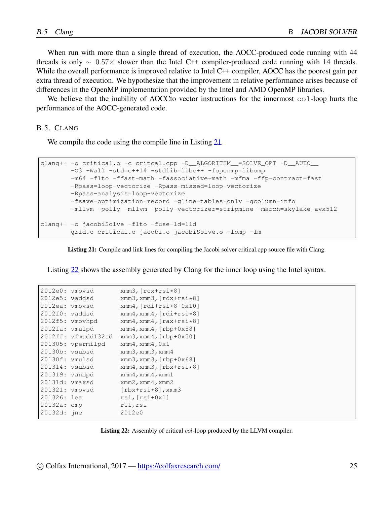When run with more than a single thread of execution, the AOCC-produced code running with 44 threads is only *∼* 0*.*57*×* slower than the Intel C++ compiler-produced code running with 14 threads. While the overall performance is improved relative to Intel C<sup>++</sup> compiler, AOCC has the poorest gain per extra thread of execution. We hypothesize that the improvement in relative performance arises because of differences in the OpenMP implementation provided by the Intel and AMD OpenMP libraries.

We believe that the inability of AOCCto vector instructions for the innermost col-loop hurts the performance of the AOCC-generated code.

B.5. CLANG

We compile the code using the compile line in Listing [21](#page-24-0)

```
clang++ -o critical.o -c critcal.cpp -D_ALGORITHM_ =SOLVE_OPT -D_AUTO
       -O3 -Wall -std=c++14 -stdlib=libc++ -fopenmp=libomp
       -m64 -flto -ffast-math -fassociative-math -mfma -ffp-contract=fast
       -Rpass=loop-vectorize -Rpass-missed=loop-vectorize
       -Rpass-analysis=loop-vectorize
       -fsave-optimization-record -gline-tables-only -gcolumn-info
       -mllvm -polly -mllvm -polly-vectorizer=stripmine -march=skylake-avx512
clang++ -o jacobiSolve -flto -fuse-ld=lld
        grid.o critical.o jacobi.o jacobiSolve.o -lomp -lm
```
Listing 21: Compile and link lines for compiling the Jacobi solver critical.cpp source file with Clang.

Listing [22](#page-24-1) shows the assembly generated by Clang for the inner loop using the Intel syntax.

<span id="page-24-1"></span>

| 2012e0:        | vmovsd      | $xmm3, [rcx + rsi * 8]$                         |
|----------------|-------------|-------------------------------------------------|
| 2012e5:        | vaddsd      | $xmm3$ , $xmm3$ , $rdx + rsi * 8$ ]             |
| 2012ea:        | vmovsd      | $xmm4$ , $rdi+rsi*8-0x10$                       |
| 2012f0: vaddsd |             | $xmm4$ , $xmm4$ , $[rdi+rsi*8]$                 |
| 2012f5:        | vmovhpd     | $xmm4$ , $xmm4$ , $\lceil rax + rsi * 8 \rceil$ |
| $2012fa$ :     | vmulpd      | $xmm4$ , $xmm4$ , $[rbp+0x58]$                  |
| 2012ff:        | vfmadd132sd | $xmm3$ , $xmm4$ , $[rbp+0x50]$                  |
| 201305:        | vpermilpd   | $x$ mm4, $x$ mm4, $0x1$                         |
| 20130b:        | vsubsd      | $xmm3$ , $xmm3$ , $xmm4$                        |
| 20130f:        | vmulsd      | $xmm3$ , $xmm3$ , $[rbp+0x68]$                  |
| 201314:        | vsubsd      | xmm4, xmm3, [rbx+rsi*8]                         |
| 201319:        | vandpd      | $x$ mm4, $x$ mm4, $x$ mm1                       |
| 20131d:        | ymaxsd      | $xmm2$ , $xmm4$ , $xmm2$                        |
| 201321:        | vmovsd      | $[\text{rbx+rsi*8}]$ , xmm3                     |
| 201326:        | lea         | $rsi, [rsi+0x1]$                                |
| 20132a:        | cmp         | rll, rsi                                        |
| 20132d:        | ine         | 2012e0                                          |

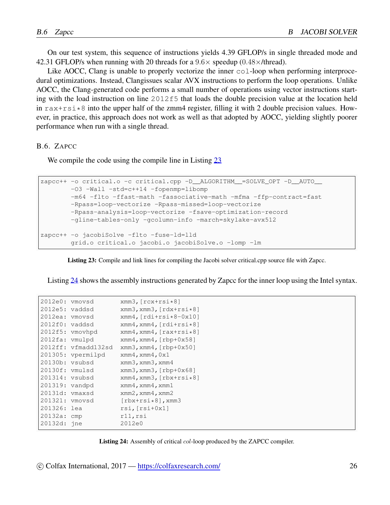On our test system, this sequence of instructions yields 4.39 GFLOP/s in single threaded mode and 42.31 GFLOP/s when running with 20 threads for a 9*.*6*×* speedup (0*.*48*×*/thread).

Like AOCC, Clang is unable to properly vectorize the inner  $\text{col-loop}$  when performing interprocedural optimizations. Instead, Clangissues scalar AVX instructions to perform the loop operations. Unlike AOCC, the Clang-generated code performs a small number of operations using vector instructions starting with the load instruction on line  $2012f5$  that loads the double precision value at the location held in  $rax + rsi \times 8$  into the upper half of the zmm4 register, filling it with 2 double precision values. However, in practice, this approach does not work as well as that adopted by AOCC, yielding slightly poorer performance when run with a single thread.

B.6. ZAPCC

We compile the code using the compile line in Listing [23](#page-25-0)

```
zapcc++ -o critical.o -c critical.cpp -D__ALGORITHM__=SOLVE_OPT -D__AUTO__
       -O3 -Wall -std=c++14 -fopenmp=libomp
        -m64 -flto -ffast-math -fassociative-math -mfma -ffp-contract=fast
        -Rpass=loop-vectorize -Rpass-missed=loop-vectorize
        -Rpass-analysis=loop-vectorize -fsave-optimization-record
        -gline-tables-only -gcolumn-info -march=skylake-avx512
zapcc++ -o jacobiSolve -flto -fuse-ld=lld
        grid.o critical.o jacobi.o jacobiSolve.o -lomp -lm
```
Listing 23: Compile and link lines for compiling the Jacobi solver critical.cpp source file with Zapcc.

Listing [24](#page-25-1) shows the assembly instructions generated by Zapcc for the inner loop using the Intel syntax.

<span id="page-25-1"></span>

| ymovsd            | $xmm3, [rcx + rsi * 8]$                         |
|-------------------|-------------------------------------------------|
| vaddsd            | xmm3, xmm3, [rdx+rsi*8]                         |
| 2012ea: vmovsd    | $xmm4$ , $rdi+rsi*8-0x10$                       |
| vaddsd            | $xmm4$ , $xmm4$ , $rdi+rsi*8$ ]                 |
| ymovhpd           | $xmm4$ , $xmm4$ , $\lceil rax + rsi * 8 \rceil$ |
| vmulpd            | $xmm4$ , $xmm4$ , $[rbp+0x58]$                  |
| vfmadd132sd       | xmm3, xmm4, [rbp+0x50]                          |
| 201305: vpermilpd | $x$ mm4, $x$ mm4, $0x1$                         |
| vsubsd            | $xmm3$ , $xmm3$ , $xmm4$                        |
| vmulsd            | $xmm3$ , $xmm3$ , $[rbp+0x68]$                  |
| vsubsd            | $xmm4$ , $xmm3$ , $[\text{rbx}+\text{rsi}*8]$   |
| vandpd            | $x$ mm4, $x$ mm4, $x$ mm1                       |
| vmaxsd            | $xmm2$ , $xmm4$ , $xmm2$                        |
| 201321: vmovsd    | $[\text{rbx+rsi*8}]$ , xmm3                     |
| lea               | $rsi, [rsi+0x1]$                                |
| cmp               | rll, rsi                                        |
| jne               | 2012e0                                          |
|                   |                                                 |



 $\degree$ Colfax International, 2017 — <https://colfaxresearch.com/> 26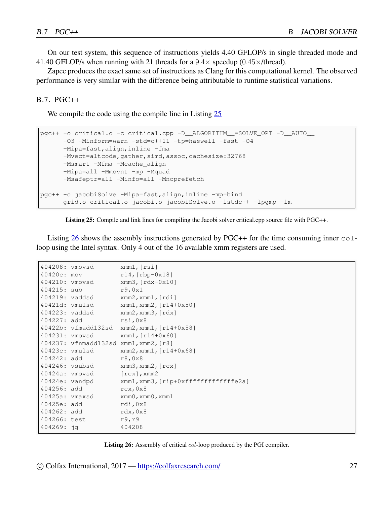On our test system, this sequence of instructions yields 4.40 GFLOP/s in single threaded mode and 41.40 GFLOP/s when running with 21 threads for a 9*.*4*×* speedup (0*.*45*×*/thread).

Zapcc produces the exact same set of instructions as Clang for this computational kernel. The observed performance is very similar with the difference being attributable to runtime statistical variations.

#### B.7. PGC++

We compile the code using the compile line in Listing [25](#page-26-0)

```
pgc++ -o critical.o -c critical.cpp -D__ALGORITHM__=SOLVE_OPT -D__AUTO__
     -03 -Minform=warn -std=c+11 -tp=haswell -fast -04-Mipa=fast, align, inline -fma
     -Mvect=altcode, gather, simd, assoc, cachesize: 32768
     -Msmart -Mfma -Mcache_align
      -Mipa=all -Mmovnt -mp -Mquad
     -Msafeptr=all -Minfo=all -Mnoprefetch
pgc++ -o jacobiSolve -Mipa=fast,align,inline -mp=bind
      grid.o critical.o jacobi.o jacobiSolve.o -lstdc++ -lpgmp -lm
```


Listing [26](#page-26-1) shows the assembly instructions generated by PGC++ for the time consuming inner  $\text{col}$ loop using the Intel syntax. Only 4 out of the 16 available xmm registers are used.

```
404208: vmovsd xmm1,[rsi]
40420c: mov r14,[rbp-0x18]
404210: vmovsd xmm3,[rdx-0x10]
404215: sub r9,0x1
404219: vaddsd xmm2,xmm1,[rdi]
40421d: vmulsd xmm1,xmm2,[r14+0x50]
404223: vaddsd xmm2,xmm3,[rdx]
404227: add rsi,0x8
40422b: vfmadd132sd xmm2,xmm1,[r14+0x58]
404231: vmovsd xmm1,[r14+0x60]
404237: vfnmadd132sd xmm1,xmm2,[r8]
40423c: vmulsd xmm2,xmm1,[r14+0x68]
404242: add r8,0x8
404246: vsubsd xmm3,xmm2,[rcx]
40424a: vmovsd [rcx], xmm2
40424e: vandpd xmm1, xmm3, [rip+0xfffffffffffffe2a]
404256: add rcx,0x8
40425a: vmaxsd xmm0,xmm0,xmm1
40425e: add rdi,0x8
404262: add rdx,0x8
404266: test r9, r9
404269: jg 404208
```
Listing 26: Assembly of critical *col*-loop produced by the PGI compiler.

 $\circled{c}$  Colfax International, 2017 — <https://colfaxresearch.com/> 27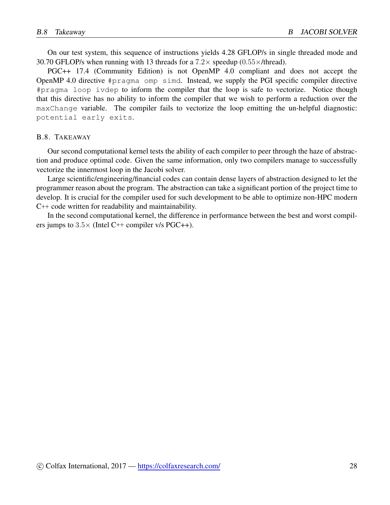On our test system, this sequence of instructions yields 4.28 GFLOP/s in single threaded mode and 30.70 GFLOP/s when running with 13 threads for a 7*.*2*×* speedup (0*.*55*×*/thread).

PGC++ 17.4 (Community Edition) is not OpenMP 4.0 compliant and does not accept the OpenMP 4.0 directive #pragma omp simd. Instead, we supply the PGI specific compiler directive #pragma loop ivdep to inform the compiler that the loop is safe to vectorize. Notice though that this directive has no ability to inform the compiler that we wish to perform a reduction over the maxChange variable. The compiler fails to vectorize the loop emitting the un-helpful diagnostic: potential early exits.

#### B.8. TAKEAWAY

Our second computational kernel tests the ability of each compiler to peer through the haze of abstraction and produce optimal code. Given the same information, only two compilers manage to successfully vectorize the innermost loop in the Jacobi solver.

Large scientific/engineering/financial codes can contain dense layers of abstraction designed to let the programmer reason about the program. The abstraction can take a significant portion of the project time to develop. It is crucial for the compiler used for such development to be able to optimize non-HPC modern C++ code written for readability and maintainability.

In the second computational kernel, the difference in performance between the best and worst compilers jumps to  $3.5 \times$  (Intel C++ compiler v/s PGC++).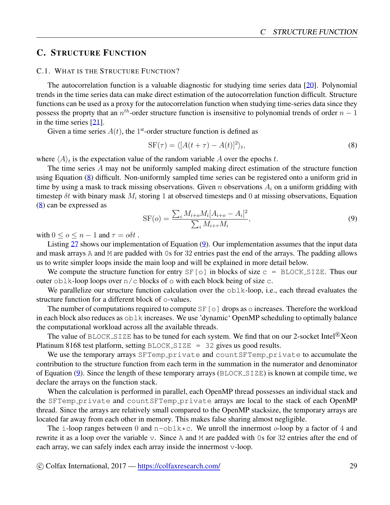## <span id="page-28-0"></span>C. STRUCTURE FUNCTION

#### C.1. WHAT IS THE STRUCTURE FUNCTION?

The autocorrelation function is a valuable diagnostic for studying time series data [[20\]](#page-9-16). Polynomial trends in the time series data can make direct estimation of the autocorrelation function difficult. Structure functions can be used as a proxy for the autocorrelation function when studying time-series data since they possess the proprty that an *n th*-order structure function is insensitive to polynomial trends of order *<sup>n</sup> <sup>−</sup>* <sup>1</sup> in the time series [\[21](#page-9-17)].

Given a time series  $A(t)$ , the 1<sup>st</sup>-order structure function is defined as

<span id="page-28-1"></span>
$$
SF(\tau) = \langle [A(t+\tau) - A(t)]^2 \rangle_t,
$$
\n(8)

where  $\langle A \rangle_t$  is the expectation value of the random variable *A* over the epochs *t*.

The time series *A* may not be uniformly sampled making direct estimation of the structure function using Equation ([8\)](#page-28-1) difficult. Non-uniformly sampled time series can be registered onto a uniform grid in time by using a mask to track missing observations. Given *n* observations *A<sup>i</sup>* on a uniform gridding with timestep *δt* with binary mask *M<sup>i</sup>* storing 1 at observed timesteps and 0 at missing observations, Equation [\(8](#page-28-1)) can be expressed as

<span id="page-28-2"></span>
$$
SF(o) = \frac{\sum_{i} M_{i+o} M_i [A_{i+o} - A_i]^2}{\sum_{i} M_{i+\tau} M_i},
$$
\n(9)

with  $0 \leq o \leq n-1$  and  $\tau = o\delta t$ .

Listing [27](#page-29-0) shows our implementation of Equation [\(9](#page-28-2)). Our implementation assumes that the input data and mask arrays A and M are padded with 0s for 32 entries past the end of the arrays. The padding allows us to write simpler loops inside the main loop and will be explained in more detail below.

We compute the structure function for entry  $SF[o]$  in blocks of size  $c = BLOCK SIZE. Thus our$ outer  $\text{oblk-loop loops over } n/c$  blocks of  $\circ$  with each block being of size c.

We parallelize our structure function calculation over the  $\triangle b1k$ -loop, i.e., each thread evaluates the structure function for a different block of o-values.

The number of computations required to compute  $SF[<sub>O</sub>]$  drops as  $\circ$  increases. Therefore the workload in each block also reduces as oblk increases. We use 'dynamic' OpenMP scheduling to optimally balance the computational workload across all the available threads.

The value of BLOCK\_SIZE has to be tuned for each system. We find that on our 2-socket Intel<sup>®</sup>Xeon Platinum 8168 test platform, setting  $BLOCK\_SIZE$  = 32 gives us good results.

We use the temporary arrays SFTemp private and countSFTemp private to accumulate the contribution to the structure function from each term in the summation in the numerator and denominator of Equation [\(9](#page-28-2)). Since the length of these temporary arrays (BLOCK SIZE) is known at compile time, we declare the arrays on the function stack.

When the calculation is performed in parallel, each OpenMP thread possesses an individual stack and the SFTemp private and countSFTemp private arrays are local to the stack of each OpenMP thread. Since the arrays are relatively small compared to the OpenMP stacksize, the temporary arrays are located far away from each other in memory. This makes false sharing almost negligible.

The i-loop ranges between 0 and  $n$ -obl $k \times c$ . We unroll the innermost *o*-loop by a factor of 4 and rewrite it as a loop over the variable v. Since A and M are padded with 0s for 32 entries after the end of each array, we can safely index each array inside the innermost v-loop.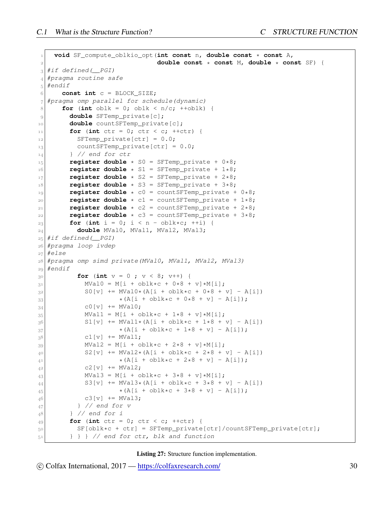```
1 void SF_compute_oblkio_opt(int const n, double const * const A,
                            2 double const * const M, double * const SF) {
3 #if defined(__PGI)
4 #pragma routine safe
5 #endif
6 const int c = BLOCK_SIZE;
7 #pragma omp parallel for schedule(dynamic)
8 for (int oblk = 0; oblk < n/c; ++oblk) {
9 double SFTemp_private[c];
10 double countSFTemp_private[c];
11 for (int ctr = 0; ctr < c; ++ctr) {
12 SFTemp_private[ctr] = 0.0;
13<sup> countSFTemp_private[ctr] = 0.0;</sup>
14 } // end for ctr
r = rregister double \star S0 = SFTemp_private + 0\star8;
16 register double * S1 = SFTemp private + 1*8;
17 register double * S2 = SFTemp_private + 2*8;
18 register double \star S3 = SFTemp_private + 3\star8;
19 register double * c0 = countSFTemp_private + 0*8;
20 register double * c1 = countSFTemp_private + 1*8;
21 register double \star c2 = countSFTemp_private + 2\star8;
22 reqister double \star c3 = countSFTemp private + 3*8;
23 for (int i = 0; i < n - oblk*c; ++i) {
24 double MVal0, MVal1, MVal2, MVal3;
25 #if defined(__PGI)
26 #pragma loop ivdep
27 #else
28 #pragma omp simd private(MVal0, MVal1, MVal2, MVal3)
29 #endif
30 for (int v = 0 ; v < 8; v++) {
31 MVal0 = M[i + oblk*c + 0*8 + v]*M[i];
32 SO[v] += MVal0*(A[i + oblk*c + 0*8 + v] - A[i])
33 \star (A[i + ob]k \star c + 0 \star 8 + v] - A[i]);
34 c0[v] += MVal0;
35 MVal1 = M[i + oblk*c + 1*8 + v]*M[i];
36 S1[v] + MVal1*(A[i + oblk*c + 1*8 + v] - A[i])
37 \star (A[i + \text{oblk} \star c + 1 \star 8 + v] - A[i]),38 c1[v] += MVal1;
39 MVal2 = M[i + oblk*c + 2*8 + v]*M[i];
40 S2[v] += MVal2*(A[i + oblk*c + 2*8 + v] - A[i])
*(A[i + ob1k*c + 2*8 + v] - A[i]);42 c2[v] += MVal2;
43 MVal3 = M[i + oblk*c + 3*8 + v]*M[i];
44 S3[v] += MVal3*(A[i + oblk*c + 3*8 + v] - A[i])
45 \star (A[i + ob]k \star c + 3 \star 8 + v] - A[i]);
46 c3[v] += MVal3;
47 } // end for v
48 } // end for i
49 for (int ctr = 0; ctr < c; ++ctr) {
50 SF[oblk*c + ctr] = SFTemp_private[ctr]/countSFTemp_private[ctr];
51 } } } // end for ctr, blk and function
```
Listing 27: Structure function implementation.

 $\circ$  Colfax International, 2017 — <https://colfaxresearch.com/> 30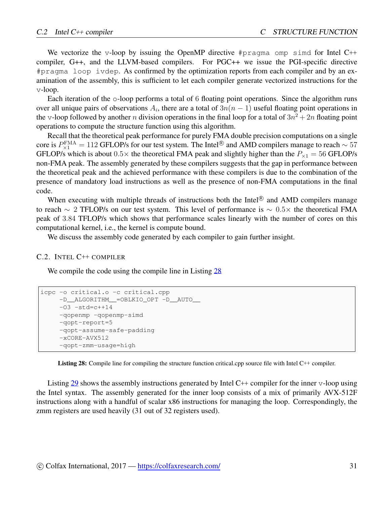We vectorize the v-loop by issuing the OpenMP directive #pragma omp simd for Intel C++ compiler, G++, and the LLVM-based compilers. For PGC++ we issue the PGI-specific directive #pragma loop ivdep. As confirmed by the optimization reports from each compiler and by an examination of the assembly, this is sufficient to let each compiler generate vectorized instructions for the v-loop.

Each iteration of the  $\circ$ -loop performs a total of 6 floating point operations. Since the algorithm runs over all unique pairs of observations  $A_i$ , there are a total of  $3n(n-1)$  useful floating point operations in the v-loop followed by another *n* division operations in the final loop for a total of  $3n^2 + 2n$  floating point operations to compute the structure function using this algorithm.

Recall that the theoretical peak performance for purely FMA double precision computations on a single  $\text{core is } P_{\times 1}^{\text{FMA}} = 112 \text{ GFLOP/s}$  for our test system. The Intel<sup>®</sup> and AMD compilers manage to reach  $\sim 57$ GFLOP/s which is about  $0.5 \times$  the theoretical FMA peak and slightly higher than the  $P_{\times 1} = 56$  GFLOP/s non-FMA peak. The assembly generated by these compilers suggests that the gap in performance between the theoretical peak and the achieved performance with these compilers is due to the combination of the presence of mandatory load instructions as well as the presence of non-FMA computations in the final code.

When executing with multiple threads of instructions both the Intel<sup>®</sup> and AMD compilers manage to reach *∼* 2 TFLOP/s on our test system. This level of performance is *∼* 0*.*5*×* the theoretical FMA peak of 3*.*84 TFLOP/s which shows that performance scales linearly with the number of cores on this computational kernel, i.e., the kernel is compute bound.

We discuss the assembly code generated by each compiler to gain further insight.

#### C.2. INTEL C++ COMPILER

We compile the code using the compile line in Listing [28](#page-30-0)

```
icpc -o critical.o -c critical.cpp
    -D__ALGORITHM__=OBLKIO_OPT -D__AUTO__
    -03 - std = c++14-qopenmp -qopenmp-simd
     -qopt-report=5
     -qopt-assume-safe-padding
     -xCORE-AVX512
     -qopt-zmm-usage=high
```
Listing 28: Compile line for compiling the structure function critical.cpp source file with Intel C++ compiler.

Listing [29](#page-31-0) shows the assembly instructions generated by Intel C++ compiler for the inner v-loop using the Intel syntax. The assembly generated for the inner loop consists of a mix of primarily AVX-512F instructions along with a handful of scalar x86 instructions for managing the loop. Correspondingly, the zmm registers are used heavily (31 out of 32 registers used).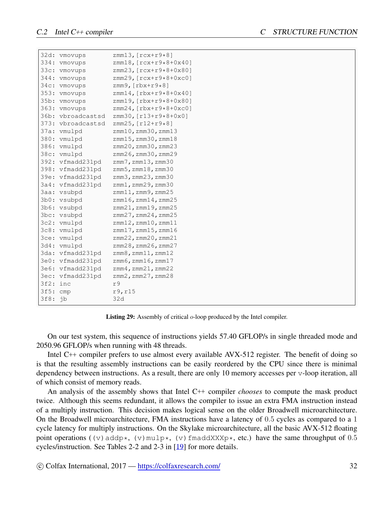<span id="page-31-0"></span>

|          | 32d: vmovups      | zmm13, $[rcx+r9*8]$              |
|----------|-------------------|----------------------------------|
|          | 334: vmovups      | $zmm18, [rcx + r9*8+0x40]$       |
|          | 33c: vmovups      | zmm23, [rcx+r9*8+0x80]           |
|          | 344: vmovups      | $zmm29, [rcx+r9*8+0xc0]$         |
|          | 34c: vmovups      | zmm9, $[\text{rbx}+\text{r9*8}]$ |
|          | 353: vmovups      | $zmm14, [rbx + r9*8+0x40]$       |
|          | 35b: vmovups      | zmm19, [rbx+r9*8+0x80]           |
|          | 363: vmovups      | $zmm24$ , [ $rbx+r9*8+0xc0$ ]    |
|          | 36b: vbroadcastsd | zmm30, [r13+r9*8+0x0]            |
|          | 373: vbroadcastsd | zmm25, [r12+r9*8]                |
|          | 37a: vmulpd       | $zmm10$ , $zmm30$ , $zmm13$      |
|          | 380: vmulpd       | $zmm15$ , $zmm30$ , $zmm18$      |
|          | 386: vmulpd       | zmm20, zmm30, zmm23              |
|          | 38c: vmulpd       | zmm26, zmm30, zmm29              |
|          | 392: vfmadd231pd  | $zmm7$ , $zmm13$ , $zmm30$       |
|          | 398: vfmadd231pd  | $zmm5$ , $zmm18$ , $zmm30$       |
|          | 39e: vfmadd231pd  | $zmm3$ , $zmm23$ , $zmm30$       |
|          | 3a4: vfmadd231pd  | zmm1, zmm29, zmm30               |
|          | 3aa: vsubpd       | $zmm11$ , $zmm9$ , $zmm25$       |
|          | 3b0: vsubpd       | $zmm16$ , $zmm14$ , $zmm25$      |
|          | 3b6: vsubpd       | $zmm21$ , $zmm19$ , $zmm25$      |
|          | 3bc: vsubpd       | $zmm27$ , $zmm24$ , $zmm25$      |
|          | 3c2: vmulpd       | $zmm12$ , $zmm10$ , $zmm11$      |
|          | 3c8: vmulpd       | $zmm17$ , $zmm15$ , $zmm16$      |
|          | 3ce: vmulpd       | $zmm22$ , $zmm20$ , $zmm21$      |
|          | 3d4: vmulpd       | zmm28, zmm26, zmm27              |
|          | 3da: vfmadd231pd  | $zmm8$ , $zmm11$ , $zmm12$       |
|          | 3e0: vfmadd231pd  | $zmm6$ , $zmm16$ , $zmm17$       |
|          | 3e6: vfmadd231pd  | $zmm4$ , $zmm21$ , $zmm22$       |
|          | 3ec: vfmadd231pd  | $zmm2$ , $zmm27$ , $zmm28$       |
| 3f2: inc |                   | r9                               |
| 3f5: cmp |                   | r9, r15                          |
| 3f8: jb  |                   | 32d                              |
|          |                   |                                  |

Listing 29: Assembly of critical *o*-loop produced by the Intel compiler.

On our test system, this sequence of instructions yields 57.40 GFLOP/s in single threaded mode and 2050.96 GFLOP/s when running with 48 threads.

Intel C++ compiler prefers to use almost every available AVX-512 register. The benefit of doing so is that the resulting assembly instructions can be easily reordered by the CPU since there is minimal dependency between instructions. As a result, there are only 10 memory accesses per v-loop iteration, all of which consist of memory reads.

An analysis of the assembly shows that Intel C++ compiler *chooses* to compute the mask product twice. Although this seems redundant, it allows the compiler to issue an extra FMA instruction instead of a multiply instruction. This decision makes logical sense on the older Broadwell microarchitecture. On the Broadwell microarchitecture, FMA instructions have a latency of 0*.*5 cycles as compared to a 1 cycle latency for multiply instructions. On the Skylake microarchitecture, all the basic AVX-512 floating point operations ( $(v)$  addp\*,  $(v)$  mulp\*,  $(v)$  fmaddXXXp\*, etc.) have the same throughput of 0.5 cycles/instruction. See Tables 2-2 and 2-3 in [\[19](#page-9-15)] for more details.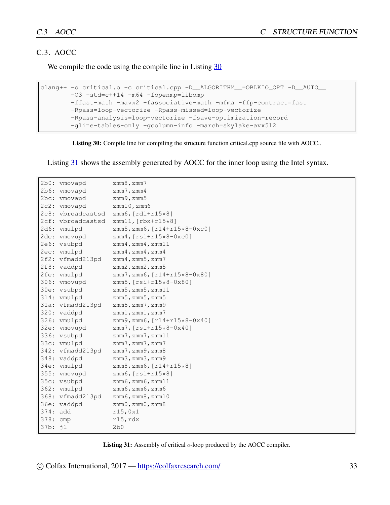#### C.3. AOCC

We compile the code using the compile line in Listing [30](#page-32-0)

```
clang++ -o critical.o -c critical.cpp -D__ALGORITHM__=OBLKIO_OPT -D__AUTO__
       -O3 -std=c++14 -m64 -fopenmp=libomp
       -ffast-math -mavx2 -fassociative-math -mfma -ffp-contract=fast
       -Rpass=loop-vectorize -Rpass-missed=loop-vectorize
       -Rpass-analysis=loop-vectorize -fsave-optimization-record
       -gline-tables-only -gcolumn-info -march=skylake-avx512
```
Listing 30: Compile line for compiling the structure function critical.cpp source file with AOCC..

Listing [31](#page-32-1) shows the assembly generated by AOCC for the inner loop using the Intel syntax.

<span id="page-32-1"></span>

|            | 2b0: vmovapd      | $zmm8$ , $zmm7$                      |
|------------|-------------------|--------------------------------------|
|            | 2b6: vmovapd      | $zmm7$ , $zmm4$                      |
|            | 2bc: vmovapd      | $zmm9$ , $zmm5$                      |
|            | 2c2: vmovapd      | $zmm10$ , $zmm6$                     |
|            | 2c8: vbroadcastsd | zmm6, $[rdi+r15*8]$                  |
|            | 2cf: vbroadcastsd | $zmm11, [rbx+r15*8]$                 |
|            | 2d6: vmulpd       | zmm5, zmm6, [r14+r15*8-0xc0]         |
|            | 2de: vmovupd      | $zmm4$ , $[rsi+r15*8-0xc0]$          |
|            | 2e6: vsubpd       | $zmm4$ , $zmm4$ , $zmm11$            |
|            | 2ec: vmulpd       | $zmm4$ , $zmm4$ , $zmm4$             |
|            | 2f2: vfmadd213pd  | $zmm4$ , $zmm5$ , $zmm7$             |
|            | 2f8: vaddpd       | $zmm2$ , $zmm2$ , $zmm5$             |
|            | 2fe: vmulpd       | $zmm7$ , $zmm6$ , $r14+r15*8-0x80$ ] |
|            | 306: vmovupd      | zmm5, [rsi+r15*8-0x80]               |
|            | 30e: vsubpd       | $zmm5$ , $zmm5$ , $zmm11$            |
|            | 314: vmulpd       | $zmm5$ , $zmm5$ , $zmm5$             |
|            | 31a: vfmadd213pd  | $zmm5$ , $zmm7$ , $zmm9$             |
|            | 320: vaddpd       | $zmm1$ , $zmm1$ , $zmm7$             |
|            | 326: vmulpd       | $zmm9$ , $zmm6$ , $[r14+r15*8-0x40]$ |
|            | 32e: vmovupd      | $zmm7$ , $rsi+r15*8-0x40$            |
|            | 336: vsubpd       | $zmm7$ , $zmm7$ , $zmm11$            |
|            | 33c: vmulpd       | $zmm7$ , $zmm7$ , $zmm7$             |
|            | 342: vfmadd213pd  | $zmm7$ , $zmm9$ , $zmm8$             |
|            | 348: vaddpd       | $zmm3$ , $zmm3$ , $zmm9$             |
|            | 34e: vmulpd       | $zmm8$ , $zmm6$ , $[r14+r15*8]$      |
|            | 355: vmovupd      | $zmm6, [rsi+r15*8]$                  |
|            | 35c: vsubpd       | $zmm6$ , $zmm6$ , $zmm11$            |
|            | 362: vmulpd       | $zmm6$ , $zmm6$ , $zmm6$             |
|            | 368: vfmadd213pd  | $zmm6$ , $zmm8$ , $zmm10$            |
|            | 36e: vaddpd       | zmm0, zmm0, zmm8                     |
| $374:$ add |                   | r15,0x1                              |
| 378: cmp   |                   | $r15$ , $rdx$                        |
| 37b: jl    |                   | 2b0                                  |

Listing 31: Assembly of critical *o*-loop produced by the AOCC compiler.

 $\circ$  Colfax International, 2017 — <https://colfaxresearch.com/> 33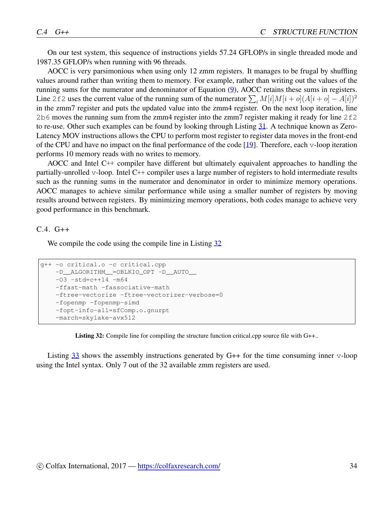On our test system, this sequence of instructions yields 57.24 GFLOP/s in single threaded mode and 1987.35 GFLOP/s when running with 96 threads.

AOCC is very parsimonious when using only 12 zmm registers. It manages to be frugal by shuffling values around rather than writing them to memory. For example, rather than writing out the values of the running sums for the numerator and denominator of Equation ([9\)](#page-28-2), AOCC retains these sums in registers. Line 2 f 2 uses the current value of the running sum of the numerator  $\sum_i M[i]M[i+o](A[i+o] - A[i])^2$ in the zmm7 register and puts the updated value into the zmm4 register. On the next loop iteration, line 2b6 moves the running sum from the zmm4 register into the zmm7 register making it ready for line  $2f2$ to re-use. Other such examples can be found by looking through Listing [31.](#page-32-1) A technique known as Zero-Latency MOV instructions allows the CPU to perform most register to register data moves in the front-end of the CPU and have no impact on the final performance of the code [\[19](#page-9-15)]. Therefore, each v-loop iteration performs 10 memory reads with no writes to memory.

AOCC and Intel C++ compiler have different but ultimately equivalent approaches to handling the partially-unrolled v-loop. Intel C++ compiler uses a large number of registers to hold intermediate results such as the running sums in the numerator and denominator in order to minimize memory operations. AOCC manages to achieve similar performance while using a smaller number of registers by moving results around between registers. By minimizing memory operations, both codes manage to achieve very good performance in this benchmark.

 $C.4. G++$ 

We compile the code using the compile line in Listing [32](#page-33-0)

```
g++ -o critical.o -c critical.cpp
   -D__ALGORITHM__=OBLKIO_OPT -D__AUTO__
   -03 -std=c++14 -m64-ffast-math -fassociative-math
   -ftree-vectorize -ftree-vectorizer-verbose=0
   -fopenmp -fopenmp-simd
   -fopt-info-all=sfComp.o.gnurpt
   -march=skylake-avx512
```
Listing 32: Compile line for compiling the structure function critical.cpp source file with G++..

Listing [33](#page-34-0) shows the assembly instructions generated by G++ for the time consuming inner v-loop using the Intel syntax. Only 7 out of the 32 available zmm registers are used.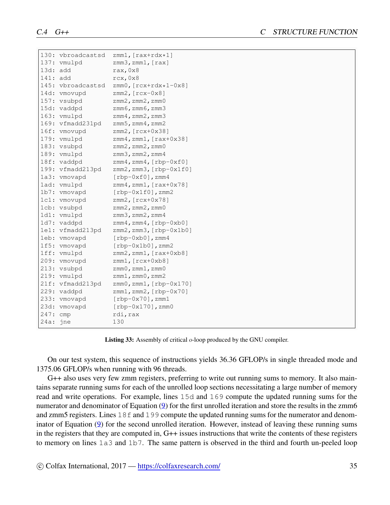```
130: vbroadcastsd zmm1, [rax+rdx*1]
137: vmulpd zmm3, zmm1, [rax]
13d: add rax,0x8
141: add rcx, 0x8
145: vbroadcastsd zmm0,[rcx+rdx*1-0x8]
14d: vmovupd zmm2, [rcx-0x8]
157: vsubpd zmm2, zmm2, zmm0
15d: vaddpd zmm6, zmm6, zmm3
163: vmulpd zmm4, zmm2, zmm3
169: vfmadd231pd zmm5,zmm4,zmm2
16f: vmovupd zmm2, [rcx+0x38]
179: vmulpd zmm4, zmm1, [rax+0x38]
183: vsubpd zmm2, zmm2, zmm0
189: vmulpd zmm3, zmm2, zmm4
18f: vaddpd zmm4,zmm4, [rbp-0xf0]
199: vfmadd213pd zmm2,zmm3,[rbp-0x1f0]
1a3: vmovapd [rbp-0xf0], zmm4
1ad: vmulpd zmm4, zmm1, [rax+0x78]
1b7: vmovapd [rbp-0x1f0], zmm2
1c1: vmovupd zmm2,[rcx+0x78]
1cb: vsubpd zmm2, zmm2, zmm0
1d1: vmulpd zmm3, zmm2, zmm4
1d7: vaddpd zmm4,zmm4, [rbp-0xb0]
1e1: vfmadd213pd zmm2,zmm3,[rbp-0x1b0]
1eb: vmovapd [rbp-0xb0], zmm4
1f5: vmovapd [rbp-0x1b0],zmm2
1ff: vmulpd zmm2, zmm1, [rax+0xb8]
209: vmovupd zmm1,[rcx+0xb8]
213: vsubpd zmm0, zmm1, zmm0
219: vmulpd zmm1, zmm0, zmm2
21f: vfmadd213pd zmm0,zmm1,[rbp-0x170]
229: vaddpd zmm1,zmm2,[rbp-0x70]
233: vmovapd [rbp-0x70],zmm1
23d: vmovapd [rbp-0x170],zmm0
247: cmp rdi, rax
24a: jne 130
```
Listing 33: Assembly of critical *o*-loop produced by the GNU compiler.

On our test system, this sequence of instructions yields 36.36 GFLOP/s in single threaded mode and 1375.06 GFLOP/s when running with 96 threads.

G++ also uses very few zmm registers, preferring to write out running sums to memory. It also maintains separate running sums for each of the unrolled loop sections necessitating a large number of memory read and write operations. For example, lines 15d and 169 compute the updated running sums for the numerator and denominator of Equation ([9\)](#page-28-2) for the first unrolled iteration and store the results in the zmm6 and zmm5 registers. Lines 18f and 199 compute the updated running sums for the numerator and denominator of Equation [\(9](#page-28-2)) for the second unrolled iteration. However, instead of leaving these running sums in the registers that they are computed in, G++ issues instructions that write the contents of these registers to memory on lines 1a3 and 1b7. The same pattern is observed in the third and fourth un-peeled loop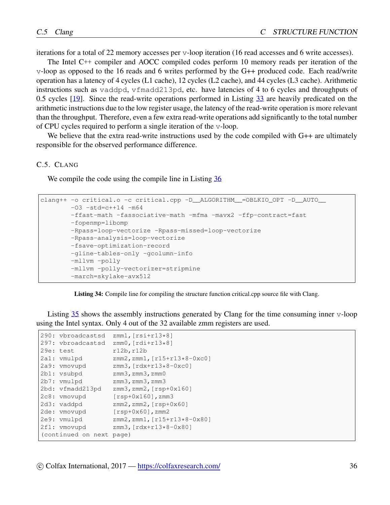iterations for a total of 22 memory accesses per v-loop iteration (16 read accesses and 6 write accesses).

The Intel C++ compiler and AOCC compiled codes perform 10 memory reads per iteration of the v-loop as opposed to the 16 reads and 6 writes performed by the G++ produced code. Each read/write operation has a latency of 4 cycles (L1 cache), 12 cycles (L2 cache), and 44 cycles (L3 cache). Arithmetic instructions such as vaddpd, vfmadd213pd, etc. have latencies of 4 to 6 cycles and throughputs of 0.5 cycles [\[19\]](#page-9-15). Since the read-write operations performed in Listing [33](#page-34-0) are heavily predicated on the arithmetic instructions due to the low register usage, the latency of the read-write operation is more relevant than the throughput. Therefore, even a few extra read-write operations add significantly to the total number of CPU cycles required to perform a single iteration of the v-loop.

We believe that the extra read-write instructions used by the code compiled with G++ are ultimately responsible for the observed performance difference.

#### C.5. CLANG

We compile the code using the compile line in Listing [36](#page-37-0)

```
clang++ -o critical.o -c critical.cpp -D__ALGORITHM__=OBLKIO_OPT -D__AUTO__
       -03 -std=c++14 -m64-ffast-math -fassociative-math -mfma -mavx2 -ffp-contract=fast
       -fopenmp=libomp
       -Rpass=loop-vectorize -Rpass-missed=loop-vectorize
       -Rpass-analysis=loop-vectorize
       -fsave-optimization-record
       -gline-tables-only -gcolumn-info
       -mllvm -polly
       -mllvm -polly-vectorizer=stripmine
       -march=skylake-avx512
```
Listing 34: Compile line for compiling the structure function critical.cpp source file with Clang.

Listing [35](#page-36-0) shows the assembly instructions generated by Clang for the time consuming inner v-loop using the Intel syntax. Only 4 out of the 32 available zmm registers are used.

```
290: vbroadcastsd zmm1,[rsi+r13*8]
297: vbroadcastsd zmm0,[rdi+r13*8]
29e: test r12b, r12b
2a1: vmulpd zmm2, zmm1, [r15+r13*8-0xc0]
2a9: vmovupd zmm3,[rdx+r13*8-0xc0]
2b1: vsubpd zmm3, zmm3, zmm0
2b7: vmulpd zmm3, zmm3, zmm3
2bd: vfmadd213pd zmm3,zmm2,[rsp+0x160]
2c8: vmovupd [rsp+0x160],zmm3
2d3: vaddpd zmm2, zmm2, [rsp+0x60]
2de: vmovupd [rsp+0x60],zmm2
2e9: vmulpd zmm2, zmm1, [r15+r13*8-0x80]<br>2f1: vmovupd zmm3, [rdx+r13*8-0x80]
             zmm3, [rdx+r13*8-0x80]
(continued on next page)
```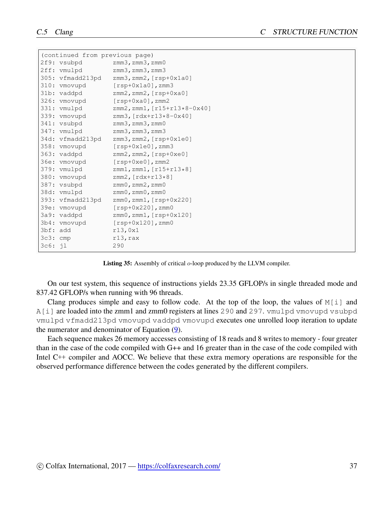<span id="page-36-0"></span>

|            | (continued from previous page) |                                      |
|------------|--------------------------------|--------------------------------------|
|            | 2f9: vsubpd                    | $zmm3$ , $zmm3$ , $zmm0$             |
|            | 2ff: vmulpd                    | $zmm3$ , $zmm3$ , $zmm3$             |
|            | 305: vfmadd213pd               | zmm3, zmm2, [rsp+0x1a0]              |
|            | 310: vmovupd                   | $[rsp+0x1a0]$ , zmm3                 |
|            | 31b: vaddpd                    | $zmm2$ , $zmm2$ , $[rsp+0xa0]$       |
|            | 326: vmovupd                   | $[\text{rsp+0xa0}]$ , zmm2           |
|            | 331: vmulpd                    | $zmm2$ , $zmm1$ , $[r15+r13*8-0x40]$ |
|            | 339: vmovupd                   | $zmm3, [rdx+r13*8-0x40]$             |
|            | 341: vsubpd                    | $zmm3$ , $zmm3$ , $zmm0$             |
|            | 347: vmulpd                    | $zmm3$ , $zmm3$ , $zmm3$             |
|            | 34d: vfmadd213pd               | $zmm3$ , $zmm2$ , $[rsp+0x1e0]$      |
|            | 358: vmovupd                   | $[rsp+0x1e0]$ , zmm3                 |
|            | 363: vaddpd                    | zmm2, zmm2, [rsp+0xe0]               |
|            | 36e: vmovupd                   | $[rsp+0xe0]$ , zmm2                  |
|            | 379: vmulpd                    | $zmm1$ , $zmm1$ , $[r15+r13*8]$      |
|            | 380: vmovupd                   | $zmm2$ , $rdx+rl3*8$ ]               |
|            | 387: vsubpd                    | $zmm0$ , $zmm2$ , $zmm0$             |
|            | 38d: vmulpd                    | $zmm0$ , $zmm0$ , $zmm0$             |
|            | 393: vfmadd213pd               | zmm0, zmm1, [rsp+0x220]              |
|            | 39e: vmovupd                   | $[rsp+0x220]$ , zmm0                 |
|            | 3a9: vaddpd                    | zmm0, zmm1, [rsp+0x120]              |
|            | 3b4: vmovupd                   | $[rsp+0x120]$ , zmm0                 |
| 3bf: add   |                                | r13,0x1                              |
| $3c3:$ cmp |                                | $r13$ , rax                          |
| 3c6: 11    |                                | 290                                  |

Listing 35: Assembly of critical *o*-loop produced by the LLVM compiler.

On our test system, this sequence of instructions yields 23.35 GFLOP/s in single threaded mode and 837.42 GFLOP/s when running with 96 threads.

Clang produces simple and easy to follow code. At the top of the loop, the values of  $M[i]$  and A[i] are loaded into the zmm1 and zmm0 registers at lines 290 and 297. vmulpd vmovupd vsubpd vmulpd vfmadd213pd vmovupd vaddpd vmovupd executes one unrolled loop iteration to update the numerator and denominator of Equation ([9\)](#page-28-2).

Each sequence makes 26 memory accesses consisting of 18 reads and 8 writes to memory - four greater than in the case of the code compiled with G++ and 16 greater than in the case of the code compiled with Intel C++ compiler and AOCC. We believe that these extra memory operations are responsible for the observed performance difference between the codes generated by the different compilers.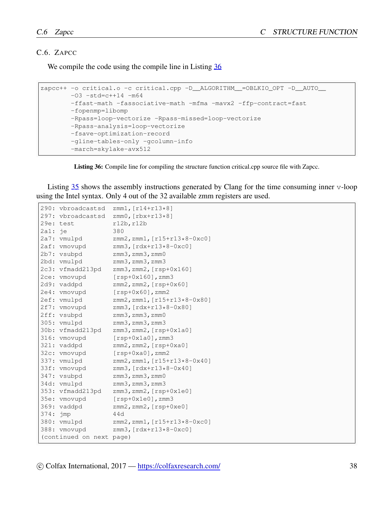#### C.6. ZAPCC

We compile the code using the compile line in Listing [36](#page-37-0)

```
zapcc++ -o critical.o -c critical.cpp -D__ALGORITHM__=OBLKIO_OPT -D__AUTO__
       -03 -std=c++14 -m64-ffast-math -fassociative-math -mfma -mavx2 -ffp-contract=fast
       -fopenmp=libomp
       -Rpass=loop-vectorize -Rpass-missed=loop-vectorize
       -Rpass-analysis=loop-vectorize
       -fsave-optimization-record
       -gline-tables-only -gcolumn-info
       -march=skylake-avx512
```
Listing 36: Compile line for compiling the structure function critical.cpp source file with Zapcc.

Listing [35](#page-36-0) shows the assembly instructions generated by Clang for the time consuming inner v-loop using the Intel syntax. Only 4 out of the 32 available zmm registers are used.

```
290: vbroadcastsd zmm1,[r14+r13*8]
297: vbroadcastsd zmm0,[rbx+r13*8]
29e: test r12b, r12b
2a1: je 380
2a7: vmulpd zmm2, zmm1, [r15+r13*8-0xc0]
2af: vmovupd zmm3,[rdx+r13*8-0xc0]
2b7: vsubpd zmm3, zmm3, zmm0
2bd: vmulpd zmm3, zmm3, zmm3
2c3: vfmadd213pd zmm3,zmm2,[rsp+0x160]
2ce: vmovupd [rsp+0x160], zmm3
2d9: vaddpd zmm2, zmm2, [rsp+0x60]
2e4: vmovupd [rsp+0x60], zmm2
2ef: vmulpd zmm2,zmm1,[r15+r13*8-0x80]
2f7: vmovupd zmm3,[rdx+r13*8-0x80]
2ff: vsubpd zmm3, zmm3, zmm0
305: vmulpd zmm3,zmm3,zmm3
30b: vfmadd213pd zmm3,zmm2,[rsp+0x1a0]
316: vmovupd [rsp+0x1a0], zmm3
321: vaddpd zmm2, zmm2, [rsp+0xa0]
32c: vmovupd [rsp+0xa0], zmm2
337: vmulpd zmm2,zmm1,[r15+r13*8-0x40]
33f: vmovupd zmm3,[rdx+r13*8-0x40]
347: vsubpd zmm3, zmm3, zmm0
34d: vmulpd zmm3, zmm3, zmm3
353: vfmadd213pd zmm3,zmm2,[rsp+0x1e0]
35e: vmovupd [rsp+0x1e0], zmm3
369: vaddpd zmm2, zmm2, [rsp+0xe0]
374: jmp 44d
380: vmulpd zmm2,zmm1,[r15+r13*8-0xc0]
388: vmovupd zmm3,[rdx+r13*8-0xc0]
(continued on next page)
```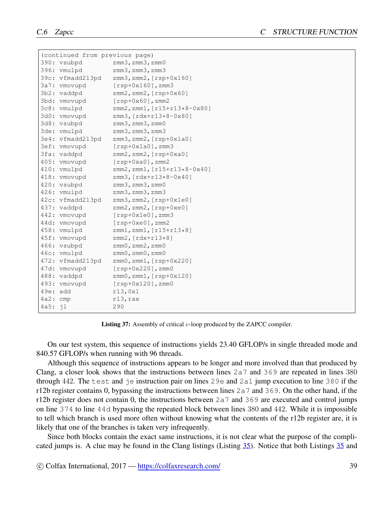```
(continued from previous page)
390: vsubpd zmm3,zmm3,zmm0
396: vmulpd zmm3,zmm3,zmm3
39c: vfmadd213pd zmm3,zmm2,[rsp+0x160]
3a7: vmovupd [rsp+0x160], zmm3
3b2: vaddpd zmm2, zmm2, [rsp+0x60]
3bd: vmovupd [rsp+0x60], zmm2
3c8: vmulpd zmm2,zmm1,[r15+r13*8-0x80]
3d0: vmovupd zmm3,[rdx+r13*8-0x80]
3d8: vsubpd zmm3, zmm3, zmm0
3de: vmulpd zmm3, zmm3, zmm3
3e4: vfmadd213pd zmm3,zmm2,[rsp+0x1a0]
3ef: vmovupd [rsp+0x1a0],zmm3
3fa: vaddpd zmm2, zmm2, [rsp+0xa0]
405: vmovupd [rsp+0xa0],zmm2
410: vmulpd zmm2,zmm1,[r15+r13*8-0x40]
418: vmovupd zmm3,[rdx+r13*8-0x40]
420: vsubpd zmm3, zmm3, zmm0
426: vmulpd zmm3, zmm3, zmm3
42c: vfmadd213pd zmm3,zmm2,[rsp+0x1e0]
437: vaddpd zmm2, zmm2, [rsp+0xe0]
442: vmovupd [rsp+0x1e0], zmm3
44d: vmovupd [rsp+0xe0], zmm2
458: vmulpd zmm1,zmm1,[r15+r13*8]
45f: vmovupd zmm2,[rdx+r13*8]
466: vsubpd zmm0,zmm2,zmm0
46c: vmulpd zmm0,zmm0,zmm0
472: vfmadd213pd zmm0,zmm1,[rsp+0x220]
47d: vmovupd [rsp+0x220], zmm0
488: vaddpd zmm0,zmm1,[rsp+0x120]
493: vmovupd [rsp+0x120],zmm0
49e: add r13,0x1
4a2: cmp r13,rax
4a5: jl 290
```
Listing 37: Assembly of critical *v*-loop produced by the ZAPCC compiler.

On our test system, this sequence of instructions yields 23.40 GFLOP/s in single threaded mode and 840.57 GFLOP/s when running with 96 threads.

Although this sequence of instructions appears to be longer and more involved than that produced by Clang, a closer look shows that the instructions between lines  $2a7$  and  $369$  are repeated in lines 380 through 442. The test and je instruction pair on lines 29e and 2a1 jump execution to line 380 if the r12b register contains 0, bypassing the instructions between lines  $2a7$  and  $369$ . On the other hand, if the r12b register does not contain 0, the instructions between 2a7 and 369 are executed and control jumps on line 374 to line 44d bypassing the repeated block between lines 380 and 442. While it is impossible to tell which branch is used more often without knowing what the contents of the r12b register are, it is likely that one of the branches is taken very infrequently.

Since both blocks contain the exact same instructions, it is not clear what the purpose of the complicated jumps is. A clue may be found in the Clang listings (Listing [35](#page-36-0)). Notice that both Listings [35](#page-36-0) and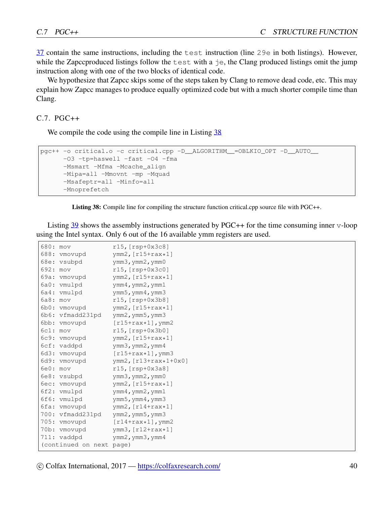[37](#page-38-0) contain the same instructions, including the test instruction (line 29e in both listings). However, while the Zapccproduced listings follow the test with a je, the Clang produced listings omit the jump instruction along with one of the two blocks of identical code.

We hypothesize that Zapcc skips some of the steps taken by Clang to remove dead code, etc. This may explain how Zapcc manages to produce equally optimized code but with a much shorter compile time than Clang.

C.7. PGC++

We compile the code using the compile line in Listing [38](#page-39-0)

```
pgc++ -o critical.o -c critical.cpp -D__ALGORITHM__=OBLKIO_OPT -D__AUTO__
     -03 -tp=haswell -fast -04 -fma
     -Msmart -Mfma -Mcache align
     -Mipa=all -Mmovnt -mp -Mquad
      -Msafeptr=all -Minfo=all
      -Mnoprefetch
```
Listing 38: Compile line for compiling the structure function critical.cpp source file with PGC++.

Listing [39](#page-40-0) shows the assembly instructions generated by PGC++ for the time consuming inner v-loop using the Intel syntax. Only 6 out of the 16 available ymm registers are used.

| 680: | mov                | $r15$ , [ $rsp+0x3c8$ ]                  |
|------|--------------------|------------------------------------------|
| 688: | vmovupd            | $ymm2$ , [ $r15+raw*1$ ]                 |
| 68e: | vsubpd             | $\gamma$ mm3, $\gamma$ mm2, $\gamma$ mm0 |
| 692: | mov                | $r15$ , $[rsp+0x3c0]$                    |
| 69a: | vmovupd            | $\gamma$ mm2, $[r15+rax*1]$              |
| 6a0: | vmulpd             | $\gamma$ mm4, $\gamma$ mm2, $\gamma$ mm1 |
| 6a4: | vmulpd             | ymm5, ymm4, ymm3                         |
| 6a8: | mov                | $r15$ , $[rsp+0x3b8]$                    |
|      | 6b0: vmovupd       | $ymm2$ , [ $r15+raw*1$ ]                 |
| 6b6: | vfmadd231pd        | $\gamma$ mm2, $\gamma$ mm5, $\gamma$ mm3 |
| 6bb: | vmovupd            | $[r15+rax*1]$ , ymm2                     |
| 6c1: | mov                | $r15$ , $[rsp+0x3b0]$                    |
| 6c9: | vmovupd            | $\gamma$ mm2, $[r15+rax*1]$              |
| 6cf: | vaddpd             | $\gamma$ mm3, $\gamma$ mm2, $\gamma$ mm4 |
| 6d3: | vmovupd            | $[r15+rax*1]$ , ymm3                     |
| 6d9: | vmovupd            | ymm2, [r13+rax*1+0x0]                    |
| 6e0: | <b>mov</b>         | $r15, [rsp+0x3a8]$                       |
| 6e8: | vsubpd             | $\gamma$ mm3, $\gamma$ mm2, $\gamma$ mm0 |
| 6ec: | vmovupd            | $ymm2$ , [ $r15+raw*1$ ]                 |
| 6f2: | vmulpd             | $\gamma$ mm4, $\gamma$ mm2, $\gamma$ mm1 |
| 6f6: | vmulpd             | $\gamma$ mm5, $\gamma$ mm4, $\gamma$ mm3 |
| 6fa: | vmovupd            | $ymm2$ , [ $r14+raw*1$ ]                 |
| 700: | vfmadd231pd        | $\gamma$ mm2, $\gamma$ mm5, $\gamma$ mm3 |
|      | 705: vmovupd       | $\lceil r14+rax*1\rceil$ , ymm2          |
| 70b: | vmovupd            | $ymm3$ , $r12+raw*1$                     |
|      | 711: vaddpd        | $\gamma$ mm2, $\gamma$ mm3, $\gamma$ mm4 |
|      | (continued on next | page)                                    |

*⃝*c Colfax International, 2017 — <https://colfaxresearch.com/> 40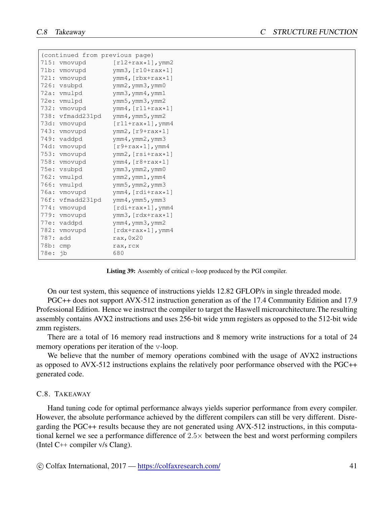<span id="page-40-0"></span>

|          | (continued from previous page) |                                               |
|----------|--------------------------------|-----------------------------------------------|
|          | 715: vmovupd                   | $[r12+rax*1]$ , ymm2                          |
|          | 71b: vmovupd                   | ymm3, $[r10+rax*1]$                           |
|          | 721: vmovupd                   | $ymm4$ , $[\text{rbx+raw+1}]$                 |
|          | 726: vsubpd                    | ymm2, ymm3, ymm0                              |
|          | 72a: vmulpd                    | ymm3, ymm4, ymm1                              |
|          | 72e: vmulpd                    | ymm5, ymm3, ymm2                              |
|          | 732: vmovupd                   | $ymm4$ , [ $r11+raw*1$ ]                      |
|          | 738: vfmadd231pd               | $\gamma$ mm4, $\gamma$ mm5, $\gamma$ mm2      |
|          | 73d: vmovupd                   | $[r11+rax*1]$ , ymm4                          |
|          | 743: vmovupd                   | $ymm2$ , [ $r9+raw*1$ ]                       |
|          | 749: vaddpd                    | $\text{ymm4}$ , $\text{ymm2}$ , $\text{ymm3}$ |
|          | 74d: vmovupd                   | $[r9+rax*1]$ , ymm4                           |
|          | 753: vmovupd                   | $ymm2, [rsit+rax*1]$                          |
|          | 758: vmovupd                   | $vmm4$ , $[r8+rax*1]$                         |
|          | 75e: vsubpd                    | ymm3, ymm2, ymm0                              |
|          | 762: vmulpd                    | $\text{ymm2}$ , $\text{ymm1}$ , $\text{ymm4}$ |
|          | 766: vmulpd                    | ymm5, ymm2, ymm3                              |
|          | 76a: vmovupd                   | ymm4, [rdi+rax*1]                             |
|          | 76f: vfmadd231pd               | ymm4, ymm5, ymm3                              |
|          | 774: vmovupd                   | $[rdi+rax*1]$ , ymm4                          |
|          | 779: vmovupd                   | $ymm3$ , [ $rdx+raw*1$ ]                      |
|          | 77e: vaddpd                    | $\gamma$ mm4, $\gamma$ mm3, $\gamma$ mm2      |
|          | 782: vmovupd                   | $[\text{rdx+raw+1}], \text{ymm4}$             |
| 787: add |                                | rax, $0x20$                                   |
| 78b: cmp |                                | rax, rcx                                      |
| 78e: jb  |                                | 680                                           |

Listing 39: Assembly of critical *v*-loop produced by the PGI compiler.

On our test system, this sequence of instructions yields 12.82 GFLOP/s in single threaded mode.

PGC++ does not support AVX-512 instruction generation as of the 17.4 Community Edition and 17.9 Professional Edition. Hence we instruct the compiler to target the Haswell microarchitecture.The resulting assembly contains AVX2 instructions and uses 256-bit wide ymm registers as opposed to the 512-bit wide zmm registers.

There are a total of 16 memory read instructions and 8 memory write instructions for a total of 24 memory operations per iteration of the v-loop.

We believe that the number of memory operations combined with the usage of AVX2 instructions as opposed to AVX-512 instructions explains the relatively poor performance observed with the PGC++ generated code.

#### C.8. TAKEAWAY

Hand tuning code for optimal performance always yields superior performance from every compiler. However, the absolute performance achieved by the different compilers can still be very different. Disregarding the PGC++ results because they are not generated using AVX-512 instructions, in this computational kernel we see a performance difference of 2*.*5*×* between the best and worst performing compilers (Intel C++ compiler v/s Clang).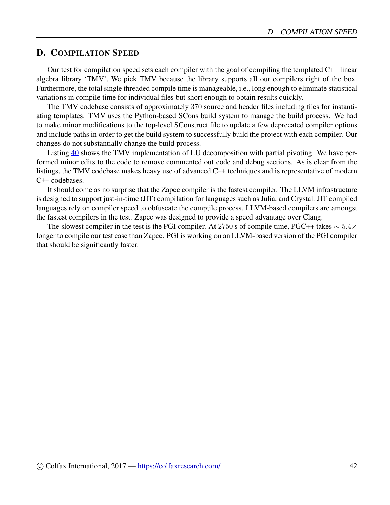# <span id="page-41-0"></span>D. COMPILATION SPEED

Our test for compilation speed sets each compiler with the goal of compiling the templated C++ linear algebra library 'TMV'. We pick TMV because the library supports all our compilers right of the box. Furthermore, the total single threaded compile time is manageable, i.e., long enough to eliminate statistical variations in compile time for individual files but short enough to obtain results quickly.

The TMV codebase consists of approximately 370 source and header files including files for instantiating templates. TMV uses the Python-based SCons build system to manage the build process. We had to make minor modifications to the top-level SConstruct file to update a few deprecated compiler options and include paths in order to get the build system to successfully build the project with each compiler. Our changes do not substantially change the build process.

Listing [40](#page-42-0) shows the TMV implementation of LU decomposition with partial pivoting. We have performed minor edits to the code to remove commented out code and debug sections. As is clear from the listings, the TMV codebase makes heavy use of advanced C++ techniques and is representative of modern C++ codebases.

It should come as no surprise that the Zapcc compiler is the fastest compiler. The LLVM infrastructure is designed to support just-in-time (JIT) compilation for languages such as Julia, and Crystal. JIT compiled languages rely on compiler speed to obfuscate the comp;ile process. LLVM-based compilers are amongst the fastest compilers in the test. Zapcc was designed to provide a speed advantage over Clang.

The slowest compiler in the test is the PGI compiler. At 2750 s of compile time, PGC++ takes *∼* 5*.*4*×* longer to compile our test case than Zapcc. PGI is working on an LLVM-based version of the PGI compiler that should be significantly faster.